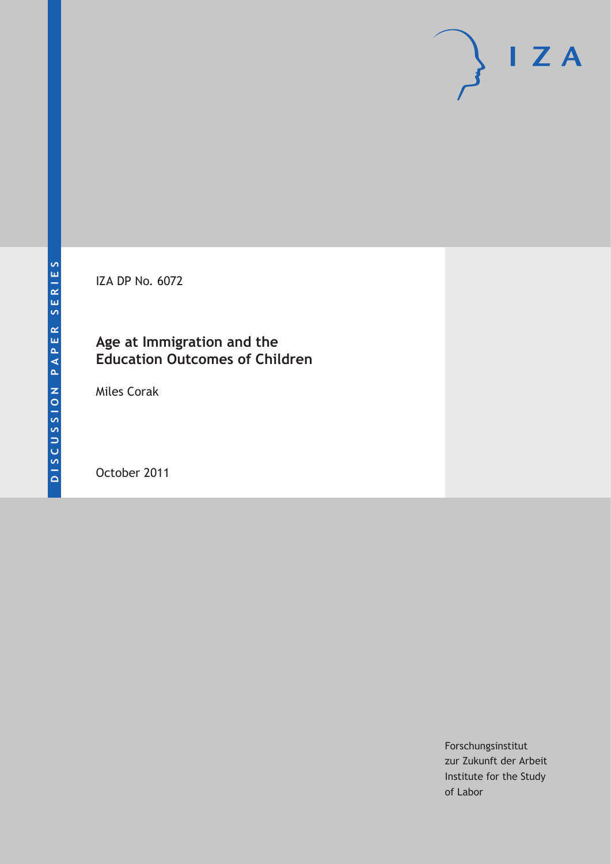IZA DP No. 6072

# **Age at Immigration and the Education Outcomes of Children**

Miles Corak

October 2011

Forschungsinstitut zur Zukunft der Arbeit Institute for the Study of Labor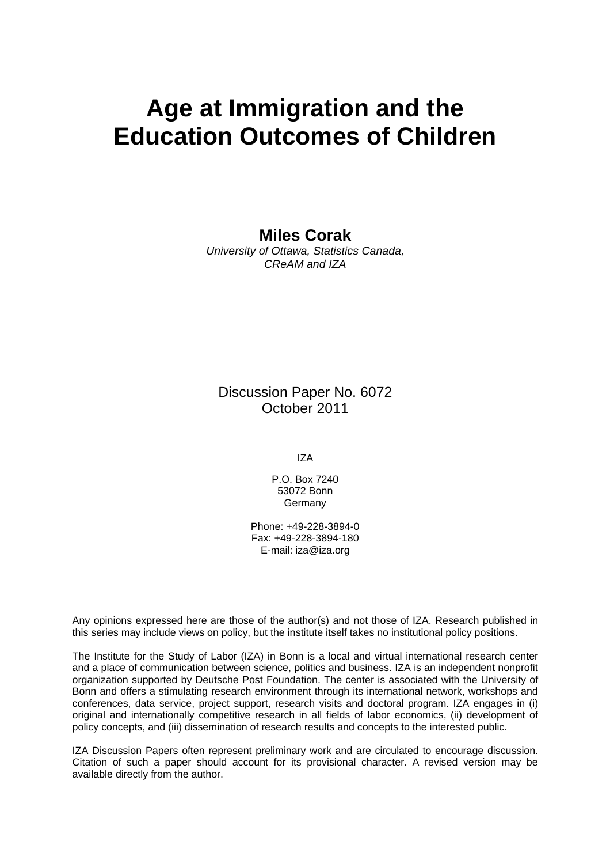# **Age at Immigration and the Education Outcomes of Children**

**Miles Corak** 

*University of Ottawa, Statistics Canada, CReAM and IZA* 

Discussion Paper No. 6072 October 2011

IZA

P.O. Box 7240 53072 Bonn **Germany** 

Phone: +49-228-3894-0 Fax: +49-228-3894-180 E-mail: [iza@iza.org](mailto:iza@iza.org)

Any opinions expressed here are those of the author(s) and not those of IZA. Research published in this series may include views on policy, but the institute itself takes no institutional policy positions.

The Institute for the Study of Labor (IZA) in Bonn is a local and virtual international research center and a place of communication between science, politics and business. IZA is an independent nonprofit organization supported by Deutsche Post Foundation. The center is associated with the University of Bonn and offers a stimulating research environment through its international network, workshops and conferences, data service, project support, research visits and doctoral program. IZA engages in (i) original and internationally competitive research in all fields of labor economics, (ii) development of policy concepts, and (iii) dissemination of research results and concepts to the interested public.

IZA Discussion Papers often represent preliminary work and are circulated to encourage discussion. Citation of such a paper should account for its provisional character. A revised version may be available directly from the author.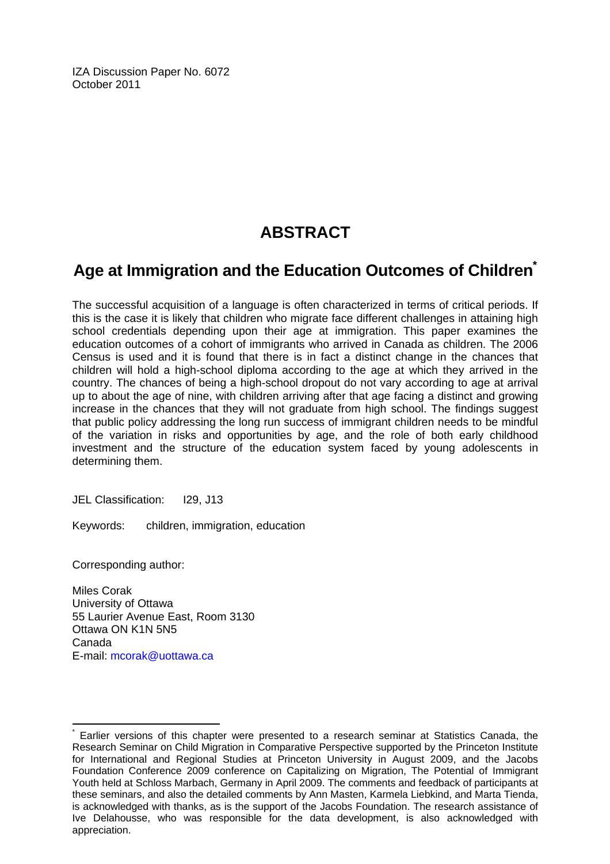IZA Discussion Paper No. 6072 October 2011

# **ABSTRACT**

# **Age at Immigration and the Education Outcomes of Childre[n\\*](#page-2-0)**

The successful acquisition of a language is often characterized in terms of critical periods. If this is the case it is likely that children who migrate face different challenges in attaining high school credentials depending upon their age at immigration. This paper examines the education outcomes of a cohort of immigrants who arrived in Canada as children. The 2006 Census is used and it is found that there is in fact a distinct change in the chances that children will hold a high-school diploma according to the age at which they arrived in the country. The chances of being a high-school dropout do not vary according to age at arrival up to about the age of nine, with children arriving after that age facing a distinct and growing increase in the chances that they will not graduate from high school. The findings suggest that public policy addressing the long run success of immigrant children needs to be mindful of the variation in risks and opportunities by age, and the role of both early childhood investment and the structure of the education system faced by young adolescents in determining them.

JEL Classification: I29, J13

Keywords: children, immigration, education

Corresponding author:

 $\overline{a}$ 

Miles Corak University of Ottawa 55 Laurier Avenue East, Room 3130 Ottawa ON K1N 5N5 Canada E-mail: [mcorak@uottawa.ca](mailto:mcorak@uottawa.ca)

<span id="page-2-0"></span><sup>\*</sup> Earlier versions of this chapter were presented to a research seminar at Statistics Canada, the Research Seminar on Child Migration in Comparative Perspective supported by the Princeton Institute for International and Regional Studies at Princeton University in August 2009, and the Jacobs Foundation Conference 2009 conference on Capitalizing on Migration, The Potential of Immigrant Youth held at Schloss Marbach, Germany in April 2009. The comments and feedback of participants at these seminars, and also the detailed comments by Ann Masten, Karmela Liebkind, and Marta Tienda, is acknowledged with thanks, as is the support of the Jacobs Foundation. The research assistance of Ive Delahousse, who was responsible for the data development, is also acknowledged with appreciation.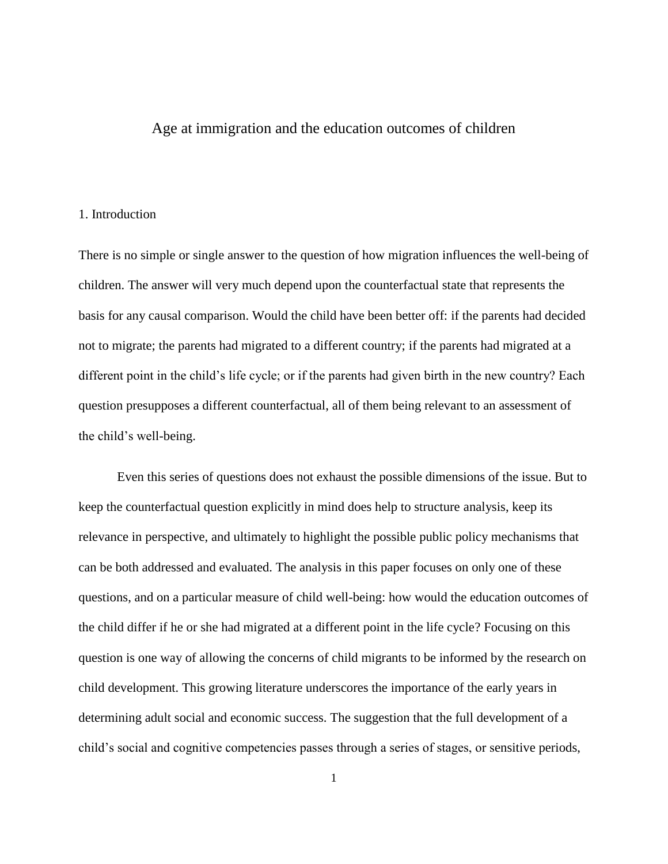# Age at immigration and the education outcomes of children

# 1. Introduction

There is no simple or single answer to the question of how migration influences the well-being of children. The answer will very much depend upon the counterfactual state that represents the basis for any causal comparison. Would the child have been better off: if the parents had decided not to migrate; the parents had migrated to a different country; if the parents had migrated at a different point in the child's life cycle; or if the parents had given birth in the new country? Each question presupposes a different counterfactual, all of them being relevant to an assessment of the child's well-being.

Even this series of questions does not exhaust the possible dimensions of the issue. But to keep the counterfactual question explicitly in mind does help to structure analysis, keep its relevance in perspective, and ultimately to highlight the possible public policy mechanisms that can be both addressed and evaluated. The analysis in this paper focuses on only one of these questions, and on a particular measure of child well-being: how would the education outcomes of the child differ if he or she had migrated at a different point in the life cycle? Focusing on this question is one way of allowing the concerns of child migrants to be informed by the research on child development. This growing literature underscores the importance of the early years in determining adult social and economic success. The suggestion that the full development of a child's social and cognitive competencies passes through a series of stages, or sensitive periods,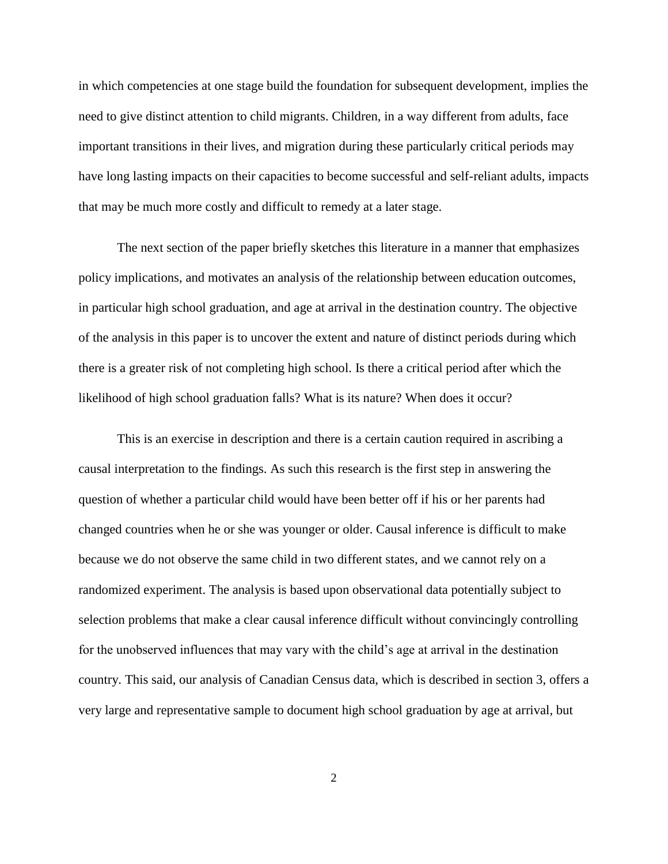in which competencies at one stage build the foundation for subsequent development, implies the need to give distinct attention to child migrants. Children, in a way different from adults, face important transitions in their lives, and migration during these particularly critical periods may have long lasting impacts on their capacities to become successful and self-reliant adults, impacts that may be much more costly and difficult to remedy at a later stage.

The next section of the paper briefly sketches this literature in a manner that emphasizes policy implications, and motivates an analysis of the relationship between education outcomes, in particular high school graduation, and age at arrival in the destination country. The objective of the analysis in this paper is to uncover the extent and nature of distinct periods during which there is a greater risk of not completing high school. Is there a critical period after which the likelihood of high school graduation falls? What is its nature? When does it occur?

This is an exercise in description and there is a certain caution required in ascribing a causal interpretation to the findings. As such this research is the first step in answering the question of whether a particular child would have been better off if his or her parents had changed countries when he or she was younger or older. Causal inference is difficult to make because we do not observe the same child in two different states, and we cannot rely on a randomized experiment. The analysis is based upon observational data potentially subject to selection problems that make a clear causal inference difficult without convincingly controlling for the unobserved influences that may vary with the child's age at arrival in the destination country. This said, our analysis of Canadian Census data, which is described in section 3, offers a very large and representative sample to document high school graduation by age at arrival, but

2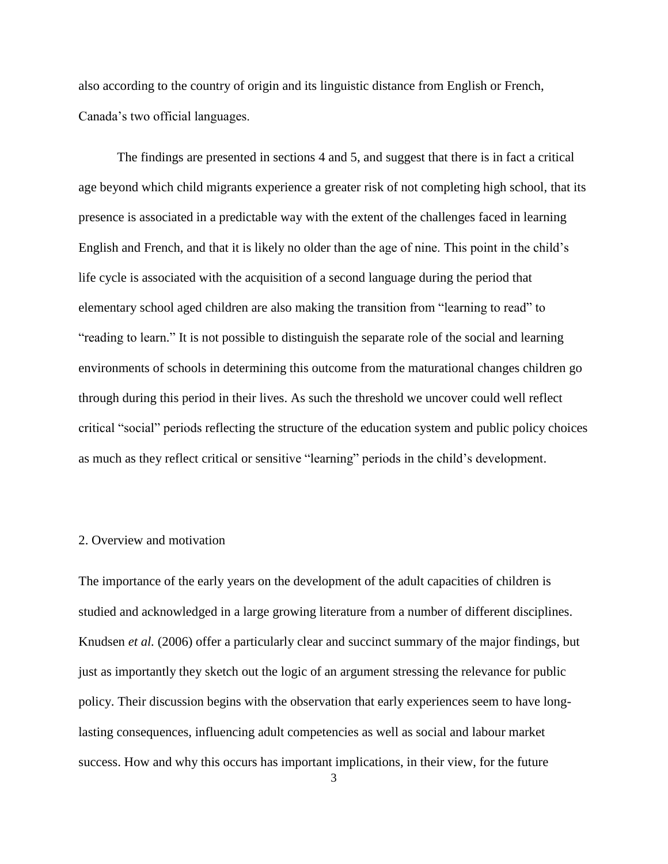also according to the country of origin and its linguistic distance from English or French, Canada's two official languages.

The findings are presented in sections 4 and 5, and suggest that there is in fact a critical age beyond which child migrants experience a greater risk of not completing high school, that its presence is associated in a predictable way with the extent of the challenges faced in learning English and French, and that it is likely no older than the age of nine. This point in the child's life cycle is associated with the acquisition of a second language during the period that elementary school aged children are also making the transition from "learning to read" to "reading to learn." It is not possible to distinguish the separate role of the social and learning environments of schools in determining this outcome from the maturational changes children go through during this period in their lives. As such the threshold we uncover could well reflect critical ―social‖ periods reflecting the structure of the education system and public policy choices as much as they reflect critical or sensitive "learning" periods in the child's development.

# 2. Overview and motivation

The importance of the early years on the development of the adult capacities of children is studied and acknowledged in a large growing literature from a number of different disciplines. Knudsen *et al.* (2006) offer a particularly clear and succinct summary of the major findings, but just as importantly they sketch out the logic of an argument stressing the relevance for public policy. Their discussion begins with the observation that early experiences seem to have longlasting consequences, influencing adult competencies as well as social and labour market success. How and why this occurs has important implications, in their view, for the future

<sup>3</sup>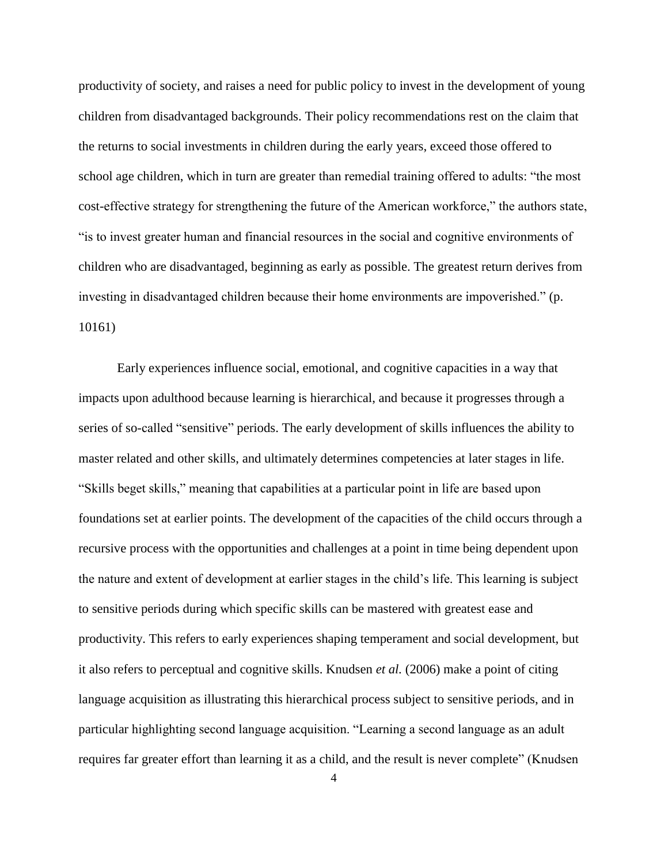productivity of society, and raises a need for public policy to invest in the development of young children from disadvantaged backgrounds. Their policy recommendations rest on the claim that the returns to social investments in children during the early years, exceed those offered to school age children, which in turn are greater than remedial training offered to adults: "the most cost-effective strategy for strengthening the future of the American workforce," the authors state, ―is to invest greater human and financial resources in the social and cognitive environments of children who are disadvantaged, beginning as early as possible. The greatest return derives from investing in disadvantaged children because their home environments are impoverished." (p. 10161)

Early experiences influence social, emotional, and cognitive capacities in a way that impacts upon adulthood because learning is hierarchical, and because it progresses through a series of so-called "sensitive" periods. The early development of skills influences the ability to master related and other skills, and ultimately determines competencies at later stages in life. ―Skills beget skills,‖ meaning that capabilities at a particular point in life are based upon foundations set at earlier points. The development of the capacities of the child occurs through a recursive process with the opportunities and challenges at a point in time being dependent upon the nature and extent of development at earlier stages in the child's life. This learning is subject to sensitive periods during which specific skills can be mastered with greatest ease and productivity. This refers to early experiences shaping temperament and social development, but it also refers to perceptual and cognitive skills. Knudsen *et al.* (2006) make a point of citing language acquisition as illustrating this hierarchical process subject to sensitive periods, and in particular highlighting second language acquisition. "Learning a second language as an adult requires far greater effort than learning it as a child, and the result is never complete" (Knudsen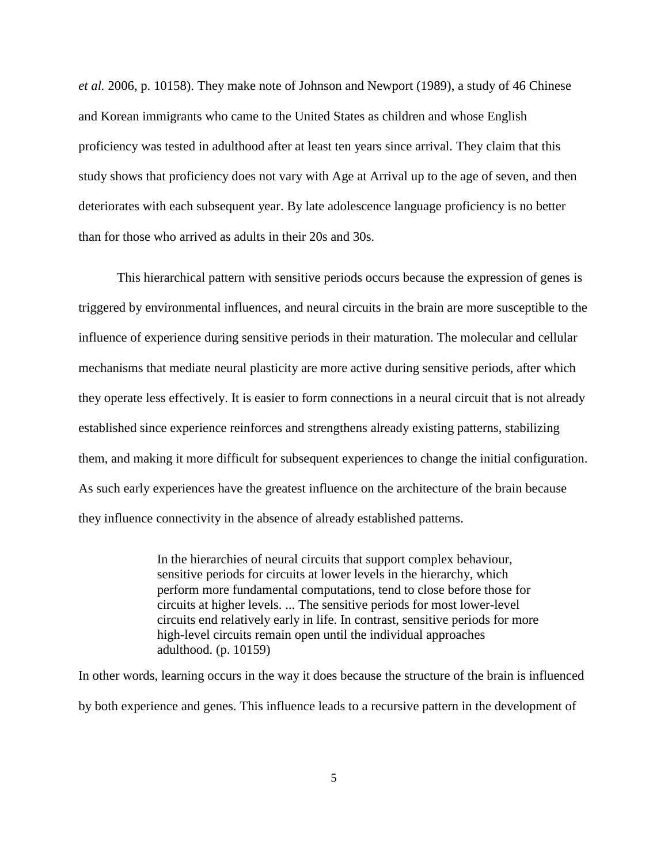*et al.* 2006, p. 10158). They make note of Johnson and Newport (1989), a study of 46 Chinese and Korean immigrants who came to the United States as children and whose English proficiency was tested in adulthood after at least ten years since arrival. They claim that this study shows that proficiency does not vary with Age at Arrival up to the age of seven, and then deteriorates with each subsequent year. By late adolescence language proficiency is no better than for those who arrived as adults in their 20s and 30s.

This hierarchical pattern with sensitive periods occurs because the expression of genes is triggered by environmental influences, and neural circuits in the brain are more susceptible to the influence of experience during sensitive periods in their maturation. The molecular and cellular mechanisms that mediate neural plasticity are more active during sensitive periods, after which they operate less effectively. It is easier to form connections in a neural circuit that is not already established since experience reinforces and strengthens already existing patterns, stabilizing them, and making it more difficult for subsequent experiences to change the initial configuration. As such early experiences have the greatest influence on the architecture of the brain because they influence connectivity in the absence of already established patterns.

> In the hierarchies of neural circuits that support complex behaviour, sensitive periods for circuits at lower levels in the hierarchy, which perform more fundamental computations, tend to close before those for circuits at higher levels. ... The sensitive periods for most lower-level circuits end relatively early in life. In contrast, sensitive periods for more high-level circuits remain open until the individual approaches adulthood. (p. 10159)

In other words, learning occurs in the way it does because the structure of the brain is influenced by both experience and genes. This influence leads to a recursive pattern in the development of

5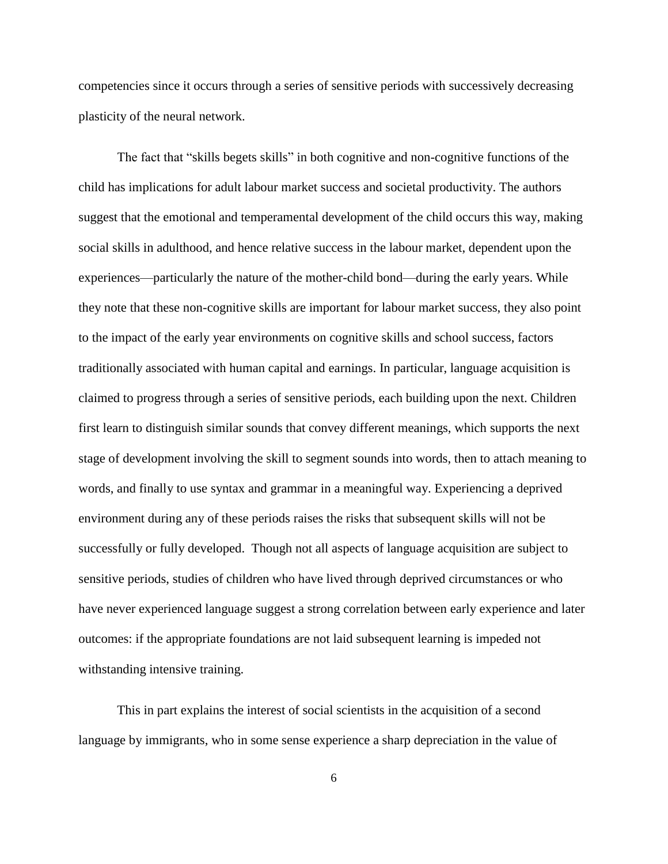competencies since it occurs through a series of sensitive periods with successively decreasing plasticity of the neural network.

The fact that "skills begets skills" in both cognitive and non-cognitive functions of the child has implications for adult labour market success and societal productivity. The authors suggest that the emotional and temperamental development of the child occurs this way, making social skills in adulthood, and hence relative success in the labour market, dependent upon the experiences—particularly the nature of the mother-child bond—during the early years. While they note that these non-cognitive skills are important for labour market success, they also point to the impact of the early year environments on cognitive skills and school success, factors traditionally associated with human capital and earnings. In particular, language acquisition is claimed to progress through a series of sensitive periods, each building upon the next. Children first learn to distinguish similar sounds that convey different meanings, which supports the next stage of development involving the skill to segment sounds into words, then to attach meaning to words, and finally to use syntax and grammar in a meaningful way. Experiencing a deprived environment during any of these periods raises the risks that subsequent skills will not be successfully or fully developed. Though not all aspects of language acquisition are subject to sensitive periods, studies of children who have lived through deprived circumstances or who have never experienced language suggest a strong correlation between early experience and later outcomes: if the appropriate foundations are not laid subsequent learning is impeded not withstanding intensive training.

This in part explains the interest of social scientists in the acquisition of a second language by immigrants, who in some sense experience a sharp depreciation in the value of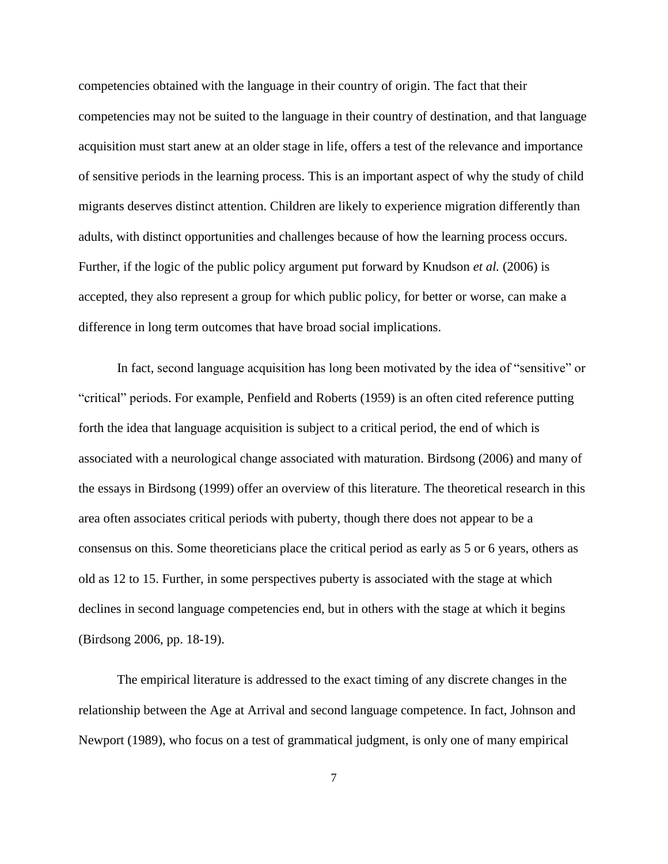competencies obtained with the language in their country of origin. The fact that their competencies may not be suited to the language in their country of destination, and that language acquisition must start anew at an older stage in life, offers a test of the relevance and importance of sensitive periods in the learning process. This is an important aspect of why the study of child migrants deserves distinct attention. Children are likely to experience migration differently than adults, with distinct opportunities and challenges because of how the learning process occurs. Further, if the logic of the public policy argument put forward by Knudson *et al.* (2006) is accepted, they also represent a group for which public policy, for better or worse, can make a difference in long term outcomes that have broad social implications.

In fact, second language acquisition has long been motivated by the idea of "sensitive" or ―critical‖ periods. For example, Penfield and Roberts (1959) is an often cited reference putting forth the idea that language acquisition is subject to a critical period, the end of which is associated with a neurological change associated with maturation. Birdsong (2006) and many of the essays in Birdsong (1999) offer an overview of this literature. The theoretical research in this area often associates critical periods with puberty, though there does not appear to be a consensus on this. Some theoreticians place the critical period as early as 5 or 6 years, others as old as 12 to 15. Further, in some perspectives puberty is associated with the stage at which declines in second language competencies end, but in others with the stage at which it begins (Birdsong 2006, pp. 18-19).

The empirical literature is addressed to the exact timing of any discrete changes in the relationship between the Age at Arrival and second language competence. In fact, Johnson and Newport (1989), who focus on a test of grammatical judgment, is only one of many empirical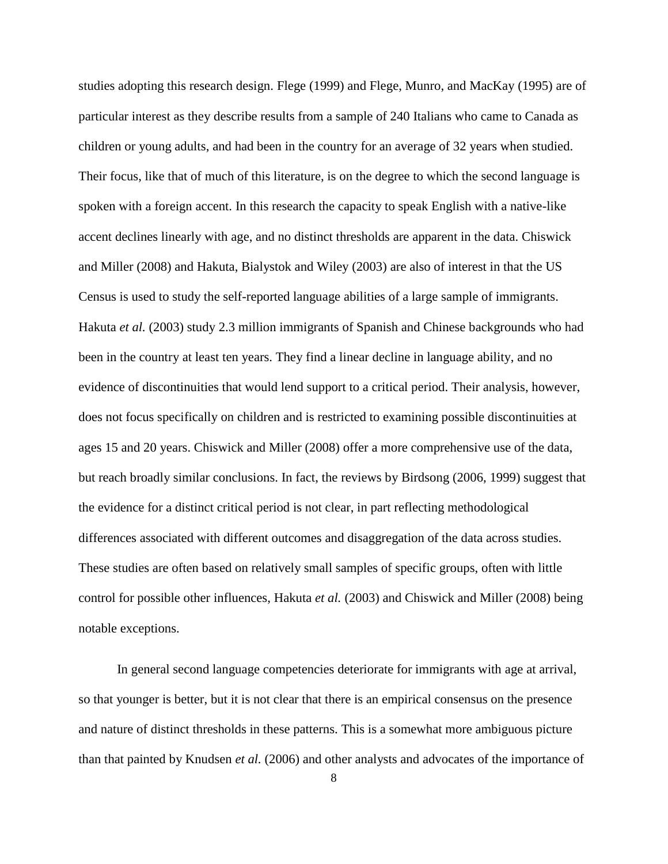studies adopting this research design. Flege (1999) and Flege, Munro, and MacKay (1995) are of particular interest as they describe results from a sample of 240 Italians who came to Canada as children or young adults, and had been in the country for an average of 32 years when studied. Their focus, like that of much of this literature, is on the degree to which the second language is spoken with a foreign accent. In this research the capacity to speak English with a native-like accent declines linearly with age, and no distinct thresholds are apparent in the data. Chiswick and Miller (2008) and Hakuta, Bialystok and Wiley (2003) are also of interest in that the US Census is used to study the self-reported language abilities of a large sample of immigrants. Hakuta *et al.* (2003) study 2.3 million immigrants of Spanish and Chinese backgrounds who had been in the country at least ten years. They find a linear decline in language ability, and no evidence of discontinuities that would lend support to a critical period. Their analysis, however, does not focus specifically on children and is restricted to examining possible discontinuities at ages 15 and 20 years. Chiswick and Miller (2008) offer a more comprehensive use of the data, but reach broadly similar conclusions. In fact, the reviews by Birdsong (2006, 1999) suggest that the evidence for a distinct critical period is not clear, in part reflecting methodological differences associated with different outcomes and disaggregation of the data across studies. These studies are often based on relatively small samples of specific groups, often with little control for possible other influences, Hakuta *et al.* (2003) and Chiswick and Miller (2008) being notable exceptions.

In general second language competencies deteriorate for immigrants with age at arrival, so that younger is better, but it is not clear that there is an empirical consensus on the presence and nature of distinct thresholds in these patterns. This is a somewhat more ambiguous picture than that painted by Knudsen *et al.* (2006) and other analysts and advocates of the importance of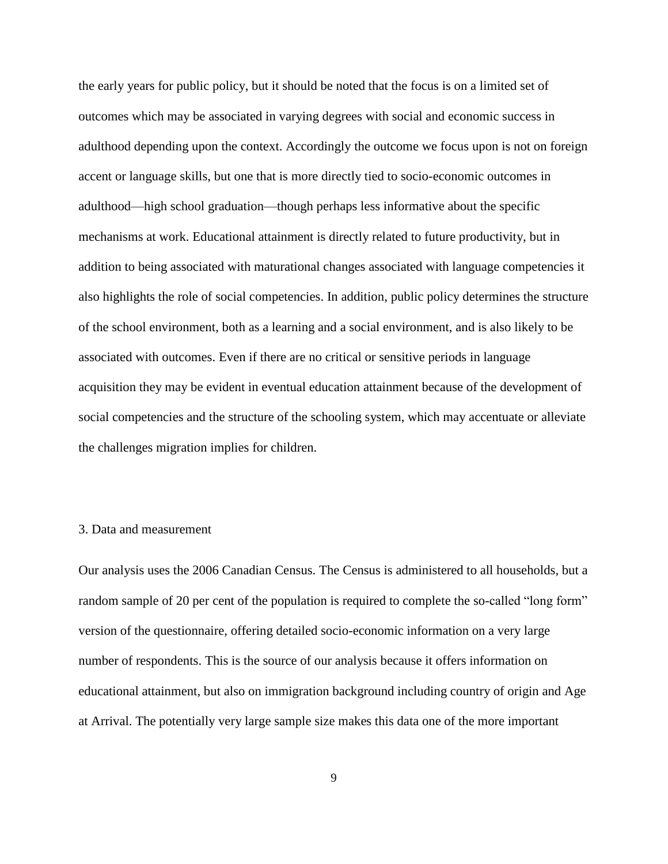the early years for public policy, but it should be noted that the focus is on a limited set of outcomes which may be associated in varying degrees with social and economic success in adulthood depending upon the context. Accordingly the outcome we focus upon is not on foreign accent or language skills, but one that is more directly tied to socio-economic outcomes in adulthood—high school graduation—though perhaps less informative about the specific mechanisms at work. Educational attainment is directly related to future productivity, but in addition to being associated with maturational changes associated with language competencies it also highlights the role of social competencies. In addition, public policy determines the structure of the school environment, both as a learning and a social environment, and is also likely to be associated with outcomes. Even if there are no critical or sensitive periods in language acquisition they may be evident in eventual education attainment because of the development of social competencies and the structure of the schooling system, which may accentuate or alleviate the challenges migration implies for children.

### 3. Data and measurement

Our analysis uses the 2006 Canadian Census. The Census is administered to all households, but a random sample of 20 per cent of the population is required to complete the so-called "long form" version of the questionnaire, offering detailed socio-economic information on a very large number of respondents. This is the source of our analysis because it offers information on educational attainment, but also on immigration background including country of origin and Age at Arrival. The potentially very large sample size makes this data one of the more important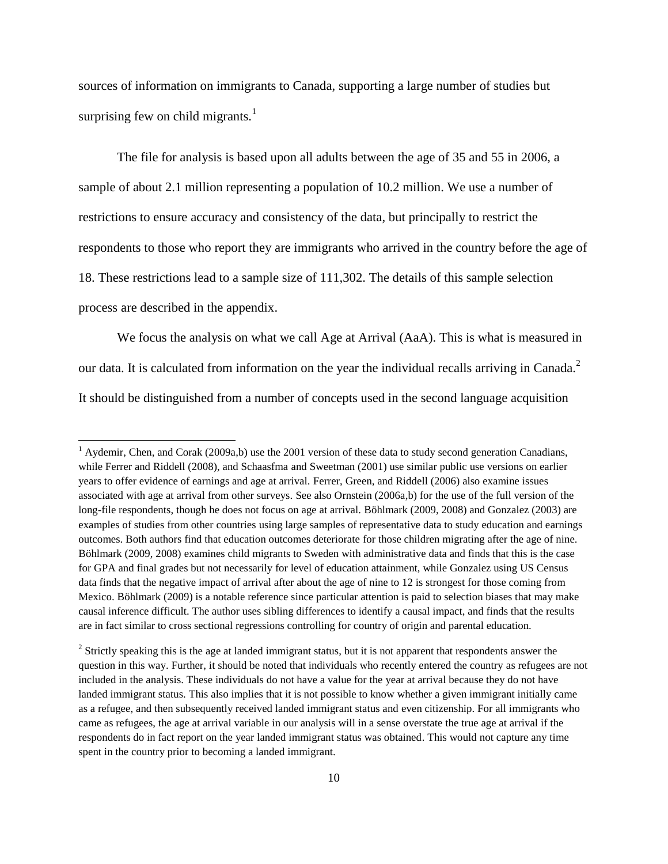sources of information on immigrants to Canada, supporting a large number of studies but surprising few on child migrants.<sup>1</sup>

The file for analysis is based upon all adults between the age of 35 and 55 in 2006, a sample of about 2.1 million representing a population of 10.2 million. We use a number of restrictions to ensure accuracy and consistency of the data, but principally to restrict the respondents to those who report they are immigrants who arrived in the country before the age of 18. These restrictions lead to a sample size of 111,302. The details of this sample selection process are described in the appendix.

We focus the analysis on what we call Age at Arrival (AaA). This is what is measured in our data. It is calculated from information on the year the individual recalls arriving in Canada.<sup>2</sup> It should be distinguished from a number of concepts used in the second language acquisition

 $\overline{\phantom{a}}$ 

 $1$  Aydemir, Chen, and Corak (2009a,b) use the 2001 version of these data to study second generation Canadians, while Ferrer and Riddell (2008), and Schaasfma and Sweetman (2001) use similar public use versions on earlier years to offer evidence of earnings and age at arrival. Ferrer, Green, and Riddell (2006) also examine issues associated with age at arrival from other surveys. See also Ornstein (2006a,b) for the use of the full version of the long-file respondents, though he does not focus on age at arrival. Böhlmark (2009, 2008) and Gonzalez (2003) are examples of studies from other countries using large samples of representative data to study education and earnings outcomes. Both authors find that education outcomes deteriorate for those children migrating after the age of nine. Böhlmark (2009, 2008) examines child migrants to Sweden with administrative data and finds that this is the case for GPA and final grades but not necessarily for level of education attainment, while Gonzalez using US Census data finds that the negative impact of arrival after about the age of nine to 12 is strongest for those coming from Mexico. Böhlmark (2009) is a notable reference since particular attention is paid to selection biases that may make causal inference difficult. The author uses sibling differences to identify a causal impact, and finds that the results are in fact similar to cross sectional regressions controlling for country of origin and parental education.

 $2^2$  Strictly speaking this is the age at landed immigrant status, but it is not apparent that respondents answer the question in this way. Further, it should be noted that individuals who recently entered the country as refugees are not included in the analysis. These individuals do not have a value for the year at arrival because they do not have landed immigrant status. This also implies that it is not possible to know whether a given immigrant initially came as a refugee, and then subsequently received landed immigrant status and even citizenship. For all immigrants who came as refugees, the age at arrival variable in our analysis will in a sense overstate the true age at arrival if the respondents do in fact report on the year landed immigrant status was obtained. This would not capture any time spent in the country prior to becoming a landed immigrant.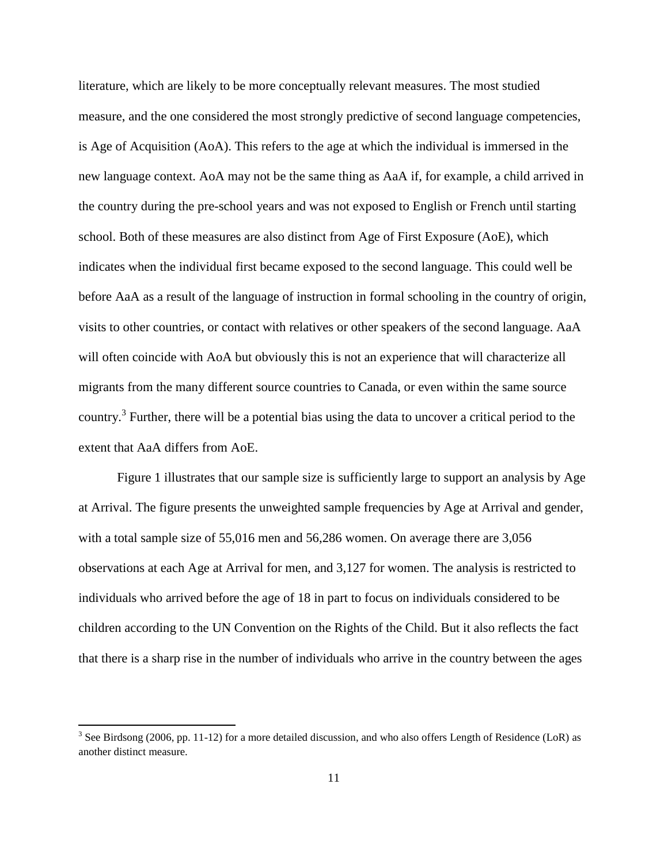literature, which are likely to be more conceptually relevant measures. The most studied measure, and the one considered the most strongly predictive of second language competencies, is Age of Acquisition (AoA). This refers to the age at which the individual is immersed in the new language context. AoA may not be the same thing as AaA if, for example, a child arrived in the country during the pre-school years and was not exposed to English or French until starting school. Both of these measures are also distinct from Age of First Exposure (AoE), which indicates when the individual first became exposed to the second language. This could well be before AaA as a result of the language of instruction in formal schooling in the country of origin, visits to other countries, or contact with relatives or other speakers of the second language. AaA will often coincide with AoA but obviously this is not an experience that will characterize all migrants from the many different source countries to Canada, or even within the same source country.<sup>3</sup> Further, there will be a potential bias using the data to uncover a critical period to the extent that AaA differs from AoE.

Figure 1 illustrates that our sample size is sufficiently large to support an analysis by Age at Arrival. The figure presents the unweighted sample frequencies by Age at Arrival and gender, with a total sample size of 55,016 men and 56,286 women. On average there are 3,056 observations at each Age at Arrival for men, and 3,127 for women. The analysis is restricted to individuals who arrived before the age of 18 in part to focus on individuals considered to be children according to the UN Convention on the Rights of the Child. But it also reflects the fact that there is a sharp rise in the number of individuals who arrive in the country between the ages

 $\overline{\phantom{a}}$ 

<sup>&</sup>lt;sup>3</sup> See Birdsong (2006, pp. 11-12) for a more detailed discussion, and who also offers Length of Residence (LoR) as another distinct measure.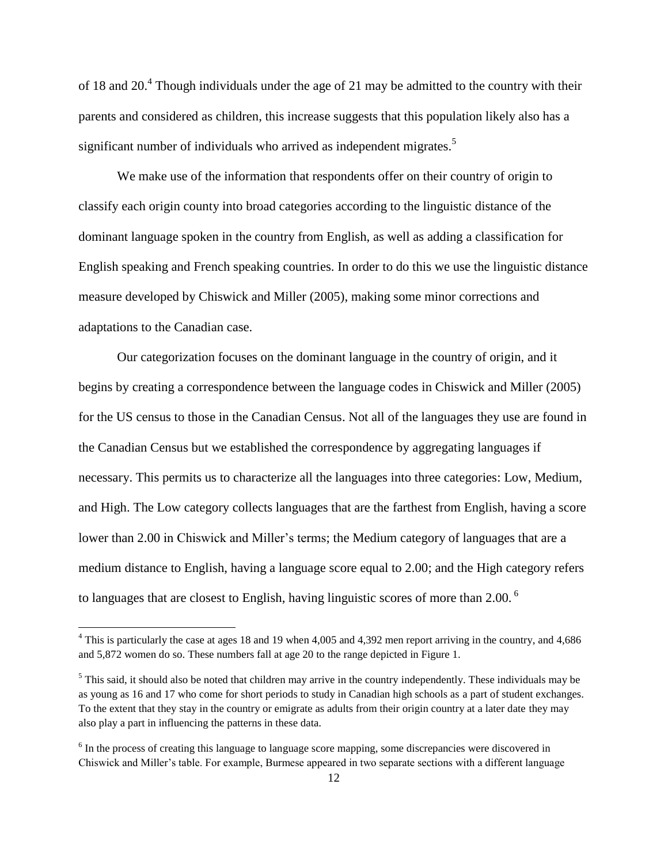of 18 and 20.<sup>4</sup> Though individuals under the age of 21 may be admitted to the country with their parents and considered as children, this increase suggests that this population likely also has a significant number of individuals who arrived as independent migrates.<sup>5</sup>

We make use of the information that respondents offer on their country of origin to classify each origin county into broad categories according to the linguistic distance of the dominant language spoken in the country from English, as well as adding a classification for English speaking and French speaking countries. In order to do this we use the linguistic distance measure developed by Chiswick and Miller (2005), making some minor corrections and adaptations to the Canadian case.

Our categorization focuses on the dominant language in the country of origin, and it begins by creating a correspondence between the language codes in Chiswick and Miller (2005) for the US census to those in the Canadian Census. Not all of the languages they use are found in the Canadian Census but we established the correspondence by aggregating languages if necessary. This permits us to characterize all the languages into three categories: Low, Medium, and High. The Low category collects languages that are the farthest from English, having a score lower than 2.00 in Chiswick and Miller's terms; the Medium category of languages that are a medium distance to English, having a language score equal to 2.00; and the High category refers to languages that are closest to English, having linguistic scores of more than 2.00. <sup>6</sup>

 $\overline{a}$ 

<sup>&</sup>lt;sup>4</sup> This is particularly the case at ages 18 and 19 when 4,005 and 4,392 men report arriving in the country, and 4,686 and 5,872 women do so. These numbers fall at age 20 to the range depicted in Figure 1.

 $<sup>5</sup>$  This said, it should also be noted that children may arrive in the country independently. These individuals may be</sup> as young as 16 and 17 who come for short periods to study in Canadian high schools as a part of student exchanges. To the extent that they stay in the country or emigrate as adults from their origin country at a later date they may also play a part in influencing the patterns in these data.

<sup>&</sup>lt;sup>6</sup> In the process of creating this language to language score mapping, some discrepancies were discovered in Chiswick and Miller's table. For example, Burmese appeared in two separate sections with a different language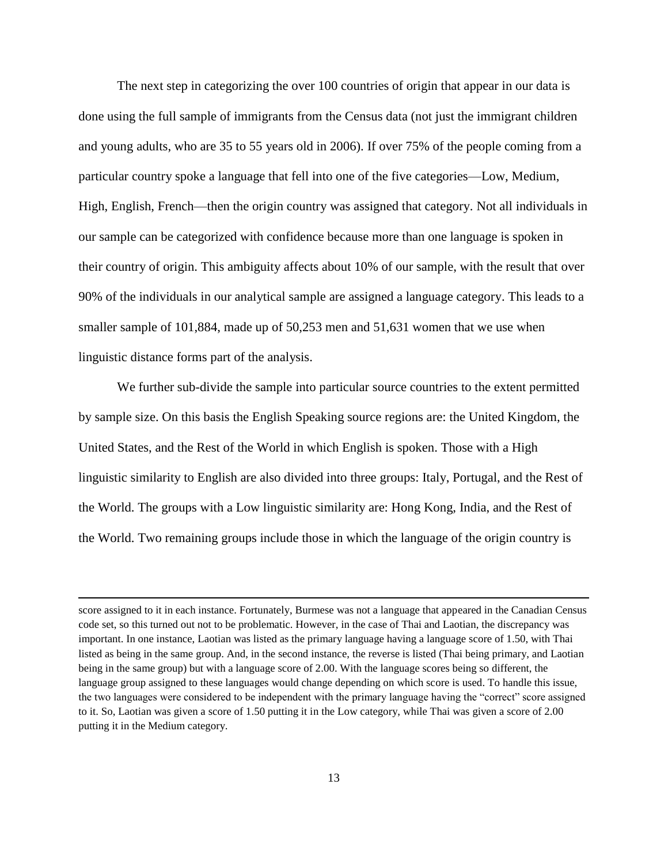The next step in categorizing the over 100 countries of origin that appear in our data is done using the full sample of immigrants from the Census data (not just the immigrant children and young adults, who are 35 to 55 years old in 2006). If over 75% of the people coming from a particular country spoke a language that fell into one of the five categories—Low, Medium, High, English, French—then the origin country was assigned that category. Not all individuals in our sample can be categorized with confidence because more than one language is spoken in their country of origin. This ambiguity affects about 10% of our sample, with the result that over 90% of the individuals in our analytical sample are assigned a language category. This leads to a smaller sample of 101,884, made up of 50,253 men and 51,631 women that we use when linguistic distance forms part of the analysis.

We further sub-divide the sample into particular source countries to the extent permitted by sample size. On this basis the English Speaking source regions are: the United Kingdom, the United States, and the Rest of the World in which English is spoken. Those with a High linguistic similarity to English are also divided into three groups: Italy, Portugal, and the Rest of the World. The groups with a Low linguistic similarity are: Hong Kong, India, and the Rest of the World. Two remaining groups include those in which the language of the origin country is

 $\overline{\phantom{a}}$ 

score assigned to it in each instance. Fortunately, Burmese was not a language that appeared in the Canadian Census code set, so this turned out not to be problematic. However, in the case of Thai and Laotian, the discrepancy was important. In one instance, Laotian was listed as the primary language having a language score of 1.50, with Thai listed as being in the same group. And, in the second instance, the reverse is listed (Thai being primary, and Laotian being in the same group) but with a language score of 2.00. With the language scores being so different, the language group assigned to these languages would change depending on which score is used. To handle this issue, the two languages were considered to be independent with the primary language having the "correct" score assigned to it. So, Laotian was given a score of 1.50 putting it in the Low category, while Thai was given a score of 2.00 putting it in the Medium category.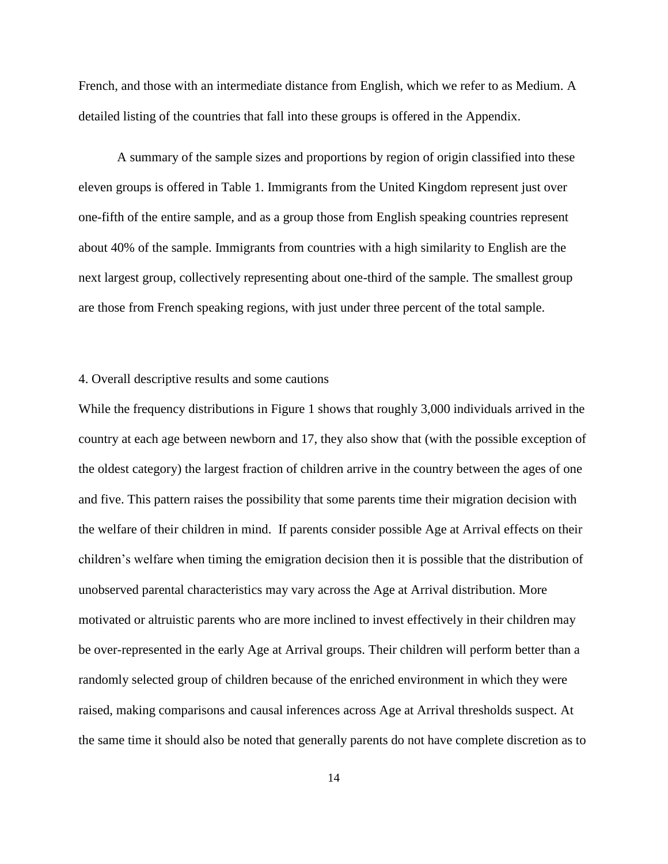French, and those with an intermediate distance from English, which we refer to as Medium. A detailed listing of the countries that fall into these groups is offered in the Appendix.

A summary of the sample sizes and proportions by region of origin classified into these eleven groups is offered in Table 1. Immigrants from the United Kingdom represent just over one-fifth of the entire sample, and as a group those from English speaking countries represent about 40% of the sample. Immigrants from countries with a high similarity to English are the next largest group, collectively representing about one-third of the sample. The smallest group are those from French speaking regions, with just under three percent of the total sample.

# 4. Overall descriptive results and some cautions

While the frequency distributions in Figure 1 shows that roughly 3,000 individuals arrived in the country at each age between newborn and 17, they also show that (with the possible exception of the oldest category) the largest fraction of children arrive in the country between the ages of one and five. This pattern raises the possibility that some parents time their migration decision with the welfare of their children in mind. If parents consider possible Age at Arrival effects on their children's welfare when timing the emigration decision then it is possible that the distribution of unobserved parental characteristics may vary across the Age at Arrival distribution. More motivated or altruistic parents who are more inclined to invest effectively in their children may be over-represented in the early Age at Arrival groups. Their children will perform better than a randomly selected group of children because of the enriched environment in which they were raised, making comparisons and causal inferences across Age at Arrival thresholds suspect. At the same time it should also be noted that generally parents do not have complete discretion as to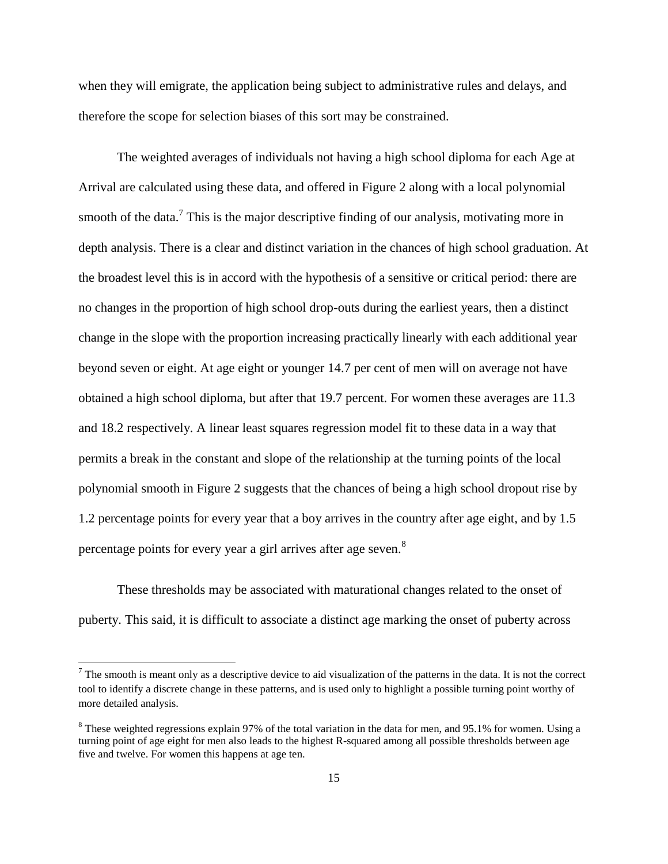when they will emigrate, the application being subject to administrative rules and delays, and therefore the scope for selection biases of this sort may be constrained.

The weighted averages of individuals not having a high school diploma for each Age at Arrival are calculated using these data, and offered in Figure 2 along with a local polynomial smooth of the data.<sup>7</sup> This is the major descriptive finding of our analysis, motivating more in depth analysis. There is a clear and distinct variation in the chances of high school graduation. At the broadest level this is in accord with the hypothesis of a sensitive or critical period: there are no changes in the proportion of high school drop-outs during the earliest years, then a distinct change in the slope with the proportion increasing practically linearly with each additional year beyond seven or eight. At age eight or younger 14.7 per cent of men will on average not have obtained a high school diploma, but after that 19.7 percent. For women these averages are 11.3 and 18.2 respectively. A linear least squares regression model fit to these data in a way that permits a break in the constant and slope of the relationship at the turning points of the local polynomial smooth in Figure 2 suggests that the chances of being a high school dropout rise by 1.2 percentage points for every year that a boy arrives in the country after age eight, and by 1.5 percentage points for every year a girl arrives after age seven.<sup>8</sup>

These thresholds may be associated with maturational changes related to the onset of puberty. This said, it is difficult to associate a distinct age marking the onset of puberty across

 $\overline{\phantom{a}}$ 

 $<sup>7</sup>$  The smooth is meant only as a descriptive device to aid visualization of the patterns in the data. It is not the correct</sup> tool to identify a discrete change in these patterns, and is used only to highlight a possible turning point worthy of more detailed analysis.

<sup>&</sup>lt;sup>8</sup> These weighted regressions explain 97% of the total variation in the data for men, and 95.1% for women. Using a turning point of age eight for men also leads to the highest R-squared among all possible thresholds between age five and twelve. For women this happens at age ten.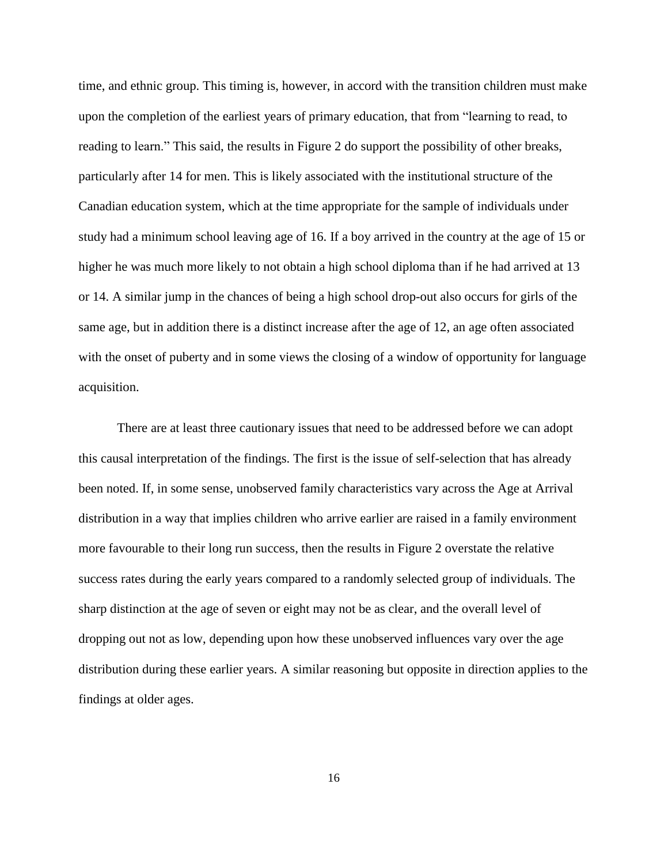time, and ethnic group. This timing is, however, in accord with the transition children must make upon the completion of the earliest years of primary education, that from "learning to read, to reading to learn." This said, the results in Figure 2 do support the possibility of other breaks, particularly after 14 for men. This is likely associated with the institutional structure of the Canadian education system, which at the time appropriate for the sample of individuals under study had a minimum school leaving age of 16. If a boy arrived in the country at the age of 15 or higher he was much more likely to not obtain a high school diploma than if he had arrived at 13 or 14. A similar jump in the chances of being a high school drop-out also occurs for girls of the same age, but in addition there is a distinct increase after the age of 12, an age often associated with the onset of puberty and in some views the closing of a window of opportunity for language acquisition.

There are at least three cautionary issues that need to be addressed before we can adopt this causal interpretation of the findings. The first is the issue of self-selection that has already been noted. If, in some sense, unobserved family characteristics vary across the Age at Arrival distribution in a way that implies children who arrive earlier are raised in a family environment more favourable to their long run success, then the results in Figure 2 overstate the relative success rates during the early years compared to a randomly selected group of individuals. The sharp distinction at the age of seven or eight may not be as clear, and the overall level of dropping out not as low, depending upon how these unobserved influences vary over the age distribution during these earlier years. A similar reasoning but opposite in direction applies to the findings at older ages.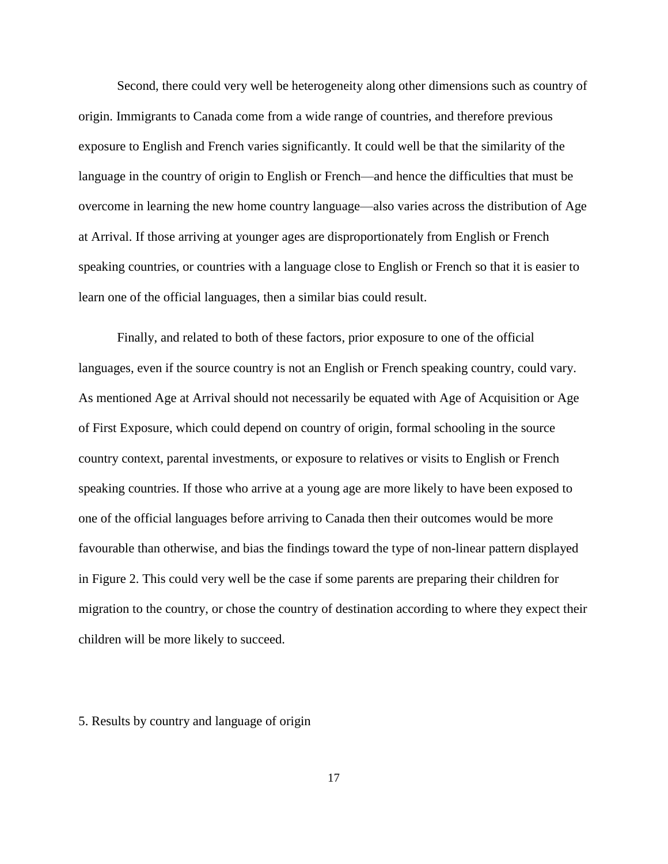Second, there could very well be heterogeneity along other dimensions such as country of origin. Immigrants to Canada come from a wide range of countries, and therefore previous exposure to English and French varies significantly. It could well be that the similarity of the language in the country of origin to English or French—and hence the difficulties that must be overcome in learning the new home country language—also varies across the distribution of Age at Arrival. If those arriving at younger ages are disproportionately from English or French speaking countries, or countries with a language close to English or French so that it is easier to learn one of the official languages, then a similar bias could result.

Finally, and related to both of these factors, prior exposure to one of the official languages, even if the source country is not an English or French speaking country, could vary. As mentioned Age at Arrival should not necessarily be equated with Age of Acquisition or Age of First Exposure, which could depend on country of origin, formal schooling in the source country context, parental investments, or exposure to relatives or visits to English or French speaking countries. If those who arrive at a young age are more likely to have been exposed to one of the official languages before arriving to Canada then their outcomes would be more favourable than otherwise, and bias the findings toward the type of non-linear pattern displayed in Figure 2. This could very well be the case if some parents are preparing their children for migration to the country, or chose the country of destination according to where they expect their children will be more likely to succeed.

# 5. Results by country and language of origin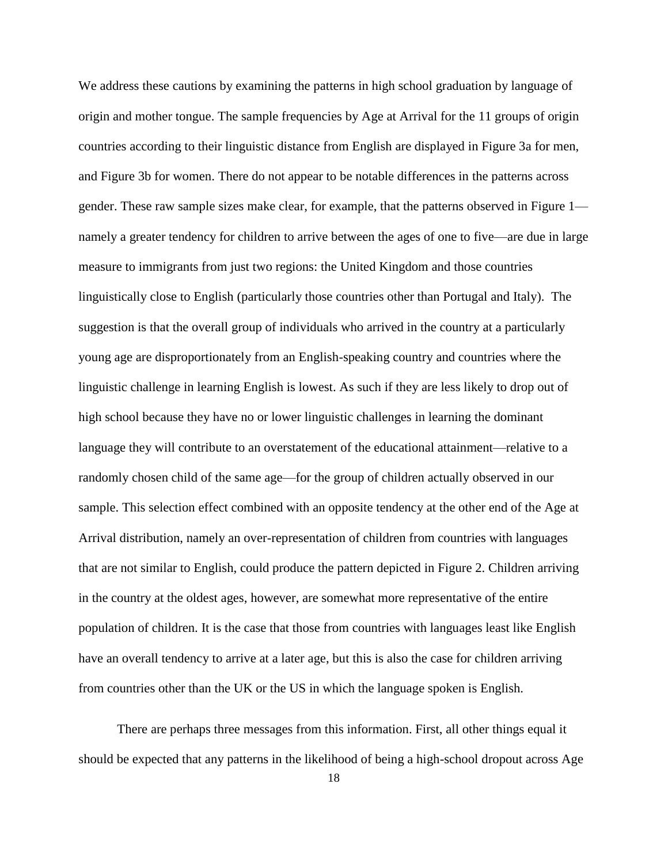We address these cautions by examining the patterns in high school graduation by language of origin and mother tongue. The sample frequencies by Age at Arrival for the 11 groups of origin countries according to their linguistic distance from English are displayed in Figure 3a for men, and Figure 3b for women. There do not appear to be notable differences in the patterns across gender. These raw sample sizes make clear, for example, that the patterns observed in Figure 1 namely a greater tendency for children to arrive between the ages of one to five—are due in large measure to immigrants from just two regions: the United Kingdom and those countries linguistically close to English (particularly those countries other than Portugal and Italy). The suggestion is that the overall group of individuals who arrived in the country at a particularly young age are disproportionately from an English-speaking country and countries where the linguistic challenge in learning English is lowest. As such if they are less likely to drop out of high school because they have no or lower linguistic challenges in learning the dominant language they will contribute to an overstatement of the educational attainment—relative to a randomly chosen child of the same age—for the group of children actually observed in our sample. This selection effect combined with an opposite tendency at the other end of the Age at Arrival distribution, namely an over-representation of children from countries with languages that are not similar to English, could produce the pattern depicted in Figure 2. Children arriving in the country at the oldest ages, however, are somewhat more representative of the entire population of children. It is the case that those from countries with languages least like English have an overall tendency to arrive at a later age, but this is also the case for children arriving from countries other than the UK or the US in which the language spoken is English.

There are perhaps three messages from this information. First, all other things equal it should be expected that any patterns in the likelihood of being a high-school dropout across Age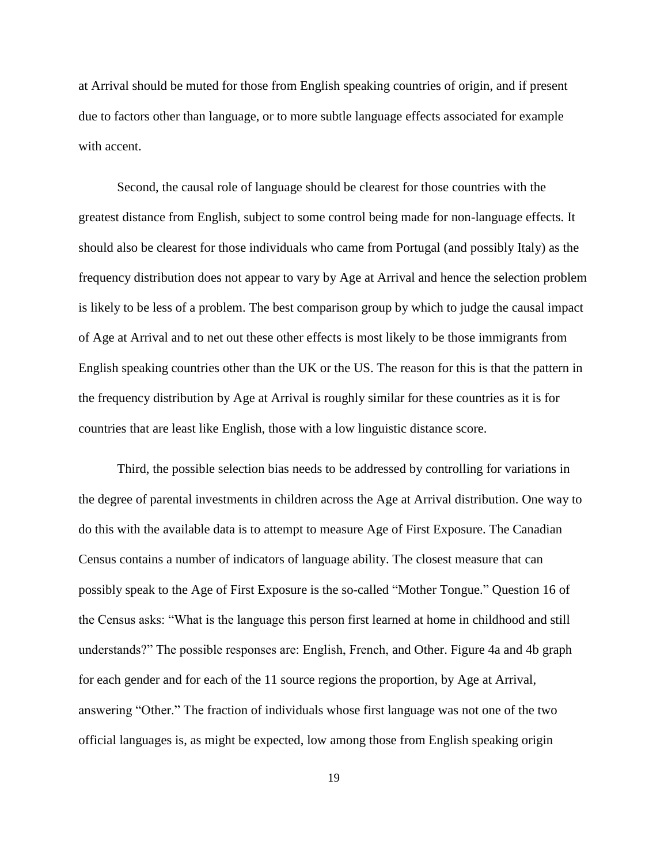at Arrival should be muted for those from English speaking countries of origin, and if present due to factors other than language, or to more subtle language effects associated for example with accent.

Second, the causal role of language should be clearest for those countries with the greatest distance from English, subject to some control being made for non-language effects. It should also be clearest for those individuals who came from Portugal (and possibly Italy) as the frequency distribution does not appear to vary by Age at Arrival and hence the selection problem is likely to be less of a problem. The best comparison group by which to judge the causal impact of Age at Arrival and to net out these other effects is most likely to be those immigrants from English speaking countries other than the UK or the US. The reason for this is that the pattern in the frequency distribution by Age at Arrival is roughly similar for these countries as it is for countries that are least like English, those with a low linguistic distance score.

Third, the possible selection bias needs to be addressed by controlling for variations in the degree of parental investments in children across the Age at Arrival distribution. One way to do this with the available data is to attempt to measure Age of First Exposure. The Canadian Census contains a number of indicators of language ability. The closest measure that can possibly speak to the Age of First Exposure is the so-called "Mother Tongue." Question 16 of the Census asks: "What is the language this person first learned at home in childhood and still understands?" The possible responses are: English, French, and Other. Figure 4a and 4b graph for each gender and for each of the 11 source regions the proportion, by Age at Arrival, answering "Other." The fraction of individuals whose first language was not one of the two official languages is, as might be expected, low among those from English speaking origin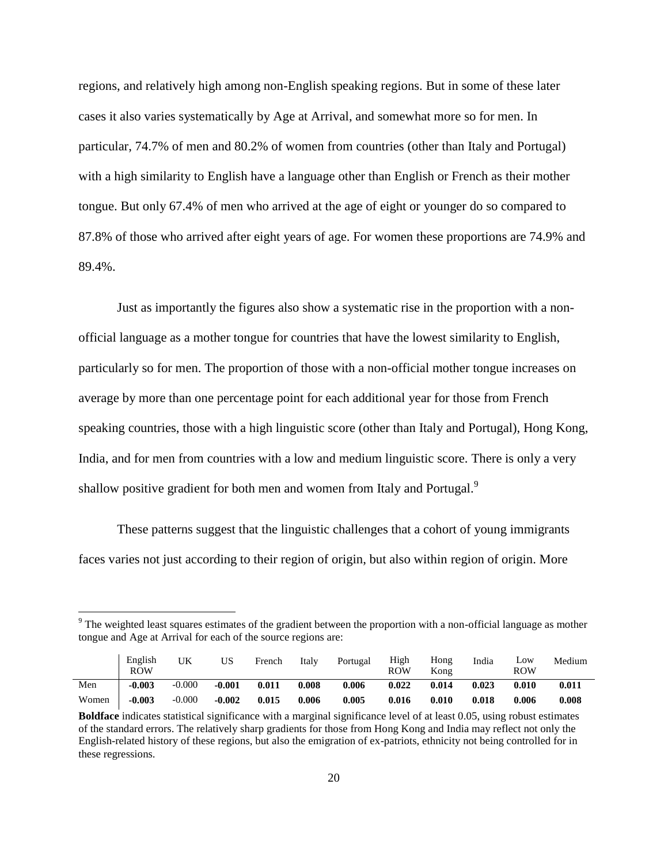regions, and relatively high among non-English speaking regions. But in some of these later cases it also varies systematically by Age at Arrival, and somewhat more so for men. In particular, 74.7% of men and 80.2% of women from countries (other than Italy and Portugal) with a high similarity to English have a language other than English or French as their mother tongue. But only 67.4% of men who arrived at the age of eight or younger do so compared to 87.8% of those who arrived after eight years of age. For women these proportions are 74.9% and 89.4%.

Just as importantly the figures also show a systematic rise in the proportion with a nonofficial language as a mother tongue for countries that have the lowest similarity to English, particularly so for men. The proportion of those with a non-official mother tongue increases on average by more than one percentage point for each additional year for those from French speaking countries, those with a high linguistic score (other than Italy and Portugal), Hong Kong, India, and for men from countries with a low and medium linguistic score. There is only a very shallow positive gradient for both men and women from Italy and Portugal.<sup>9</sup>

These patterns suggest that the linguistic challenges that a cohort of young immigrants faces varies not just according to their region of origin, but also within region of origin. More

 $\overline{a}$ 

<sup>&</sup>lt;sup>9</sup> The weighted least squares estimates of the gradient between the proportion with a non-official language as mother tongue and Age at Arrival for each of the source regions are:

|       | English<br><b>ROW</b> | UK       | US       | French | Italy | Portugal | High<br>ROW | Hong<br>Kong | India | Low<br>ROW | Medium |
|-------|-----------------------|----------|----------|--------|-------|----------|-------------|--------------|-------|------------|--------|
| Men   | $-0.003$              | $-0.000$ | $-0.001$ | 0.011  | 0.008 | 0.006    | 0.022       | 0.014        | 0.023 | 0.010      | 0.011  |
| Women | $-0.003$              | $-0.000$ | $-0.002$ | 0.015  | 0.006 | 0.005    | 0.016       | 0.010        | 0.018 | 0.006      | 0.008  |

**Boldface** indicates statistical significance with a marginal significance level of at least 0.05, using robust estimates of the standard errors. The relatively sharp gradients for those from Hong Kong and India may reflect not only the English-related history of these regions, but also the emigration of ex-patriots, ethnicity not being controlled for in these regressions.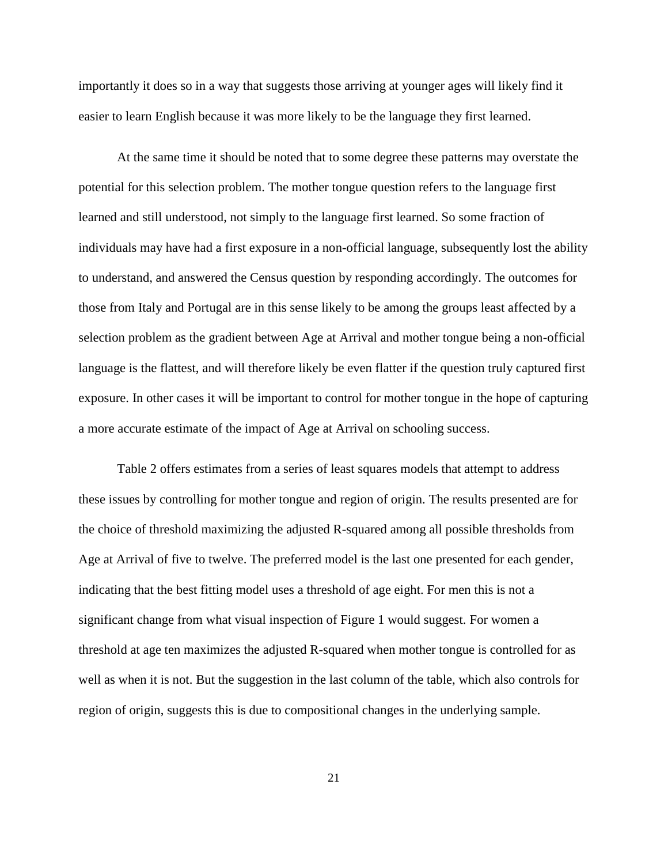importantly it does so in a way that suggests those arriving at younger ages will likely find it easier to learn English because it was more likely to be the language they first learned.

At the same time it should be noted that to some degree these patterns may overstate the potential for this selection problem. The mother tongue question refers to the language first learned and still understood, not simply to the language first learned. So some fraction of individuals may have had a first exposure in a non-official language, subsequently lost the ability to understand, and answered the Census question by responding accordingly. The outcomes for those from Italy and Portugal are in this sense likely to be among the groups least affected by a selection problem as the gradient between Age at Arrival and mother tongue being a non-official language is the flattest, and will therefore likely be even flatter if the question truly captured first exposure. In other cases it will be important to control for mother tongue in the hope of capturing a more accurate estimate of the impact of Age at Arrival on schooling success.

Table 2 offers estimates from a series of least squares models that attempt to address these issues by controlling for mother tongue and region of origin. The results presented are for the choice of threshold maximizing the adjusted R-squared among all possible thresholds from Age at Arrival of five to twelve. The preferred model is the last one presented for each gender, indicating that the best fitting model uses a threshold of age eight. For men this is not a significant change from what visual inspection of Figure 1 would suggest. For women a threshold at age ten maximizes the adjusted R-squared when mother tongue is controlled for as well as when it is not. But the suggestion in the last column of the table, which also controls for region of origin, suggests this is due to compositional changes in the underlying sample.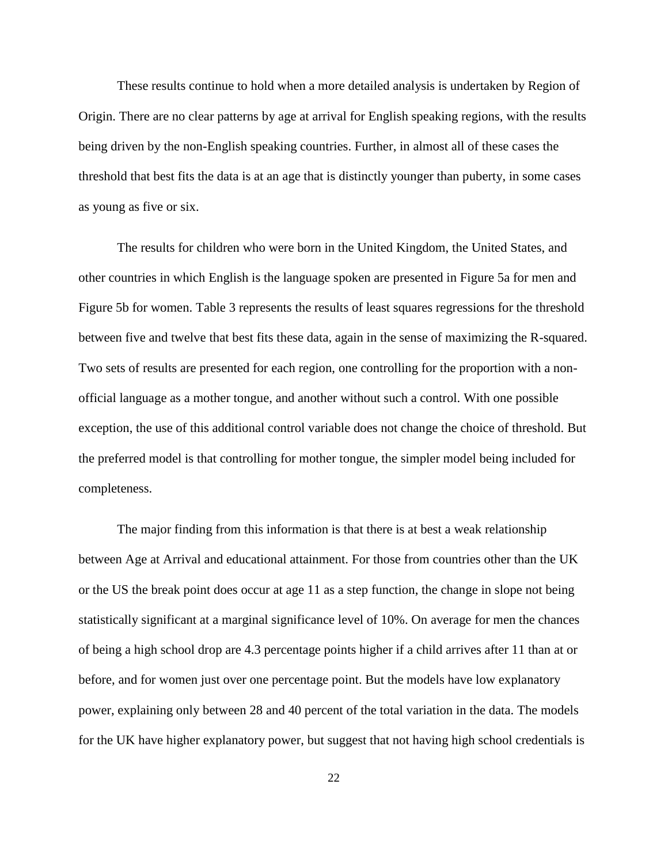These results continue to hold when a more detailed analysis is undertaken by Region of Origin. There are no clear patterns by age at arrival for English speaking regions, with the results being driven by the non-English speaking countries. Further, in almost all of these cases the threshold that best fits the data is at an age that is distinctly younger than puberty, in some cases as young as five or six.

The results for children who were born in the United Kingdom, the United States, and other countries in which English is the language spoken are presented in Figure 5a for men and Figure 5b for women. Table 3 represents the results of least squares regressions for the threshold between five and twelve that best fits these data, again in the sense of maximizing the R-squared. Two sets of results are presented for each region, one controlling for the proportion with a nonofficial language as a mother tongue, and another without such a control. With one possible exception, the use of this additional control variable does not change the choice of threshold. But the preferred model is that controlling for mother tongue, the simpler model being included for completeness.

The major finding from this information is that there is at best a weak relationship between Age at Arrival and educational attainment. For those from countries other than the UK or the US the break point does occur at age 11 as a step function, the change in slope not being statistically significant at a marginal significance level of 10%. On average for men the chances of being a high school drop are 4.3 percentage points higher if a child arrives after 11 than at or before, and for women just over one percentage point. But the models have low explanatory power, explaining only between 28 and 40 percent of the total variation in the data. The models for the UK have higher explanatory power, but suggest that not having high school credentials is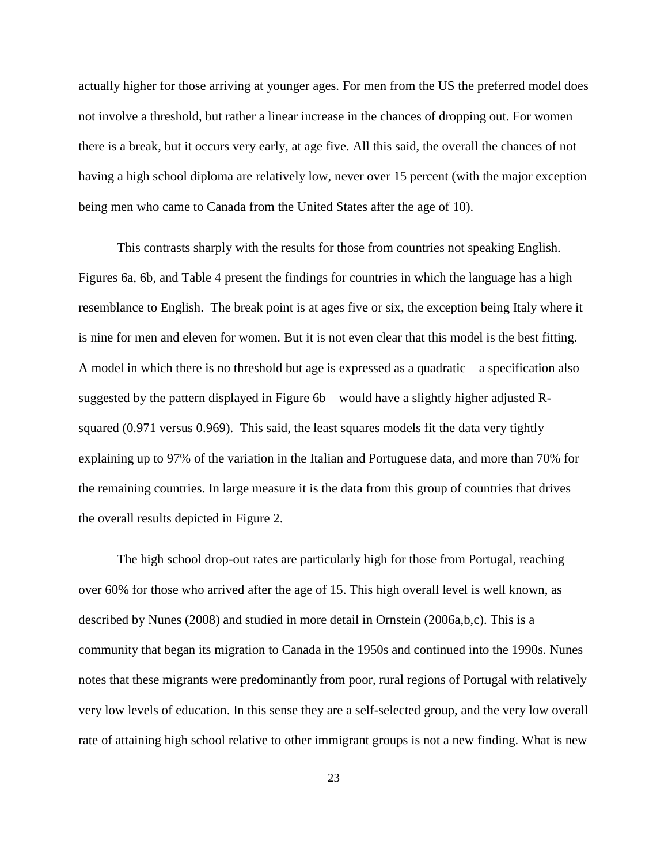actually higher for those arriving at younger ages. For men from the US the preferred model does not involve a threshold, but rather a linear increase in the chances of dropping out. For women there is a break, but it occurs very early, at age five. All this said, the overall the chances of not having a high school diploma are relatively low, never over 15 percent (with the major exception being men who came to Canada from the United States after the age of 10).

This contrasts sharply with the results for those from countries not speaking English. Figures 6a, 6b, and Table 4 present the findings for countries in which the language has a high resemblance to English. The break point is at ages five or six, the exception being Italy where it is nine for men and eleven for women. But it is not even clear that this model is the best fitting. A model in which there is no threshold but age is expressed as a quadratic—a specification also suggested by the pattern displayed in Figure 6b—would have a slightly higher adjusted Rsquared (0.971 versus 0.969). This said, the least squares models fit the data very tightly explaining up to 97% of the variation in the Italian and Portuguese data, and more than 70% for the remaining countries. In large measure it is the data from this group of countries that drives the overall results depicted in Figure 2.

The high school drop-out rates are particularly high for those from Portugal, reaching over 60% for those who arrived after the age of 15. This high overall level is well known, as described by Nunes (2008) and studied in more detail in Ornstein (2006a,b,c). This is a community that began its migration to Canada in the 1950s and continued into the 1990s. Nunes notes that these migrants were predominantly from poor, rural regions of Portugal with relatively very low levels of education. In this sense they are a self-selected group, and the very low overall rate of attaining high school relative to other immigrant groups is not a new finding. What is new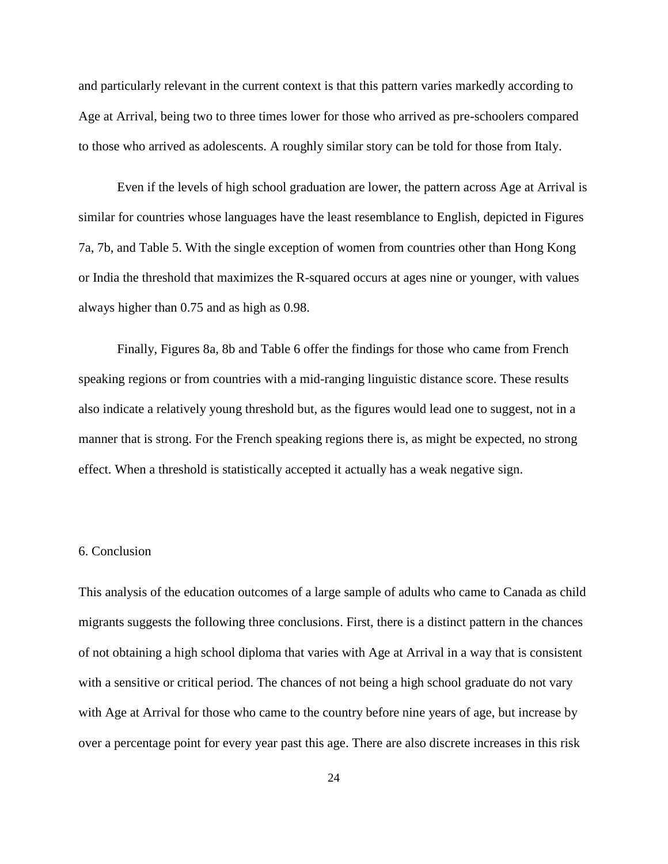and particularly relevant in the current context is that this pattern varies markedly according to Age at Arrival, being two to three times lower for those who arrived as pre-schoolers compared to those who arrived as adolescents. A roughly similar story can be told for those from Italy.

Even if the levels of high school graduation are lower, the pattern across Age at Arrival is similar for countries whose languages have the least resemblance to English, depicted in Figures 7a, 7b, and Table 5. With the single exception of women from countries other than Hong Kong or India the threshold that maximizes the R-squared occurs at ages nine or younger, with values always higher than 0.75 and as high as 0.98.

Finally, Figures 8a, 8b and Table 6 offer the findings for those who came from French speaking regions or from countries with a mid-ranging linguistic distance score. These results also indicate a relatively young threshold but, as the figures would lead one to suggest, not in a manner that is strong. For the French speaking regions there is, as might be expected, no strong effect. When a threshold is statistically accepted it actually has a weak negative sign.

# 6. Conclusion

This analysis of the education outcomes of a large sample of adults who came to Canada as child migrants suggests the following three conclusions. First, there is a distinct pattern in the chances of not obtaining a high school diploma that varies with Age at Arrival in a way that is consistent with a sensitive or critical period. The chances of not being a high school graduate do not vary with Age at Arrival for those who came to the country before nine years of age, but increase by over a percentage point for every year past this age. There are also discrete increases in this risk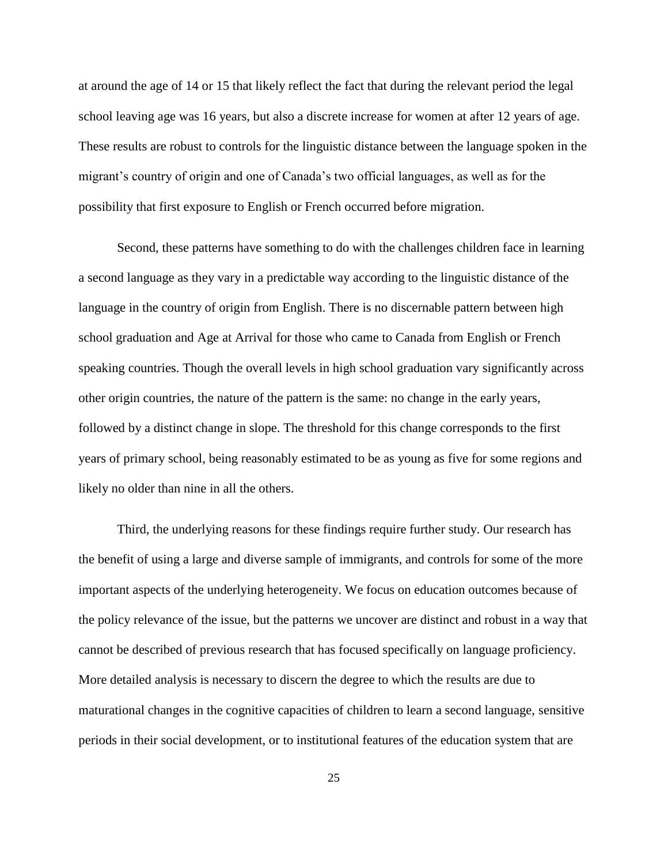at around the age of 14 or 15 that likely reflect the fact that during the relevant period the legal school leaving age was 16 years, but also a discrete increase for women at after 12 years of age. These results are robust to controls for the linguistic distance between the language spoken in the migrant's country of origin and one of Canada's two official languages, as well as for the possibility that first exposure to English or French occurred before migration.

Second, these patterns have something to do with the challenges children face in learning a second language as they vary in a predictable way according to the linguistic distance of the language in the country of origin from English. There is no discernable pattern between high school graduation and Age at Arrival for those who came to Canada from English or French speaking countries. Though the overall levels in high school graduation vary significantly across other origin countries, the nature of the pattern is the same: no change in the early years, followed by a distinct change in slope. The threshold for this change corresponds to the first years of primary school, being reasonably estimated to be as young as five for some regions and likely no older than nine in all the others.

Third, the underlying reasons for these findings require further study. Our research has the benefit of using a large and diverse sample of immigrants, and controls for some of the more important aspects of the underlying heterogeneity. We focus on education outcomes because of the policy relevance of the issue, but the patterns we uncover are distinct and robust in a way that cannot be described of previous research that has focused specifically on language proficiency. More detailed analysis is necessary to discern the degree to which the results are due to maturational changes in the cognitive capacities of children to learn a second language, sensitive periods in their social development, or to institutional features of the education system that are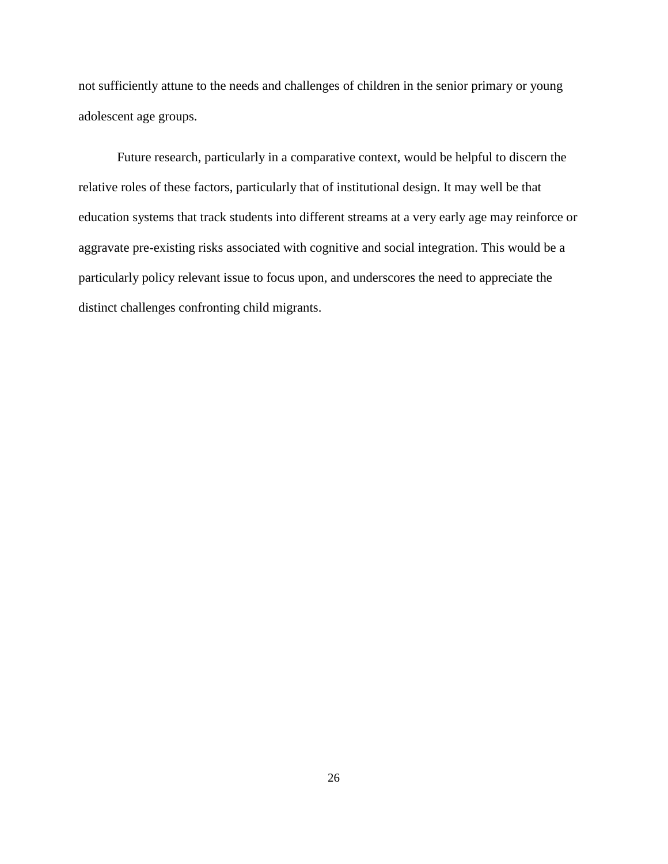not sufficiently attune to the needs and challenges of children in the senior primary or young adolescent age groups.

Future research, particularly in a comparative context, would be helpful to discern the relative roles of these factors, particularly that of institutional design. It may well be that education systems that track students into different streams at a very early age may reinforce or aggravate pre-existing risks associated with cognitive and social integration. This would be a particularly policy relevant issue to focus upon, and underscores the need to appreciate the distinct challenges confronting child migrants.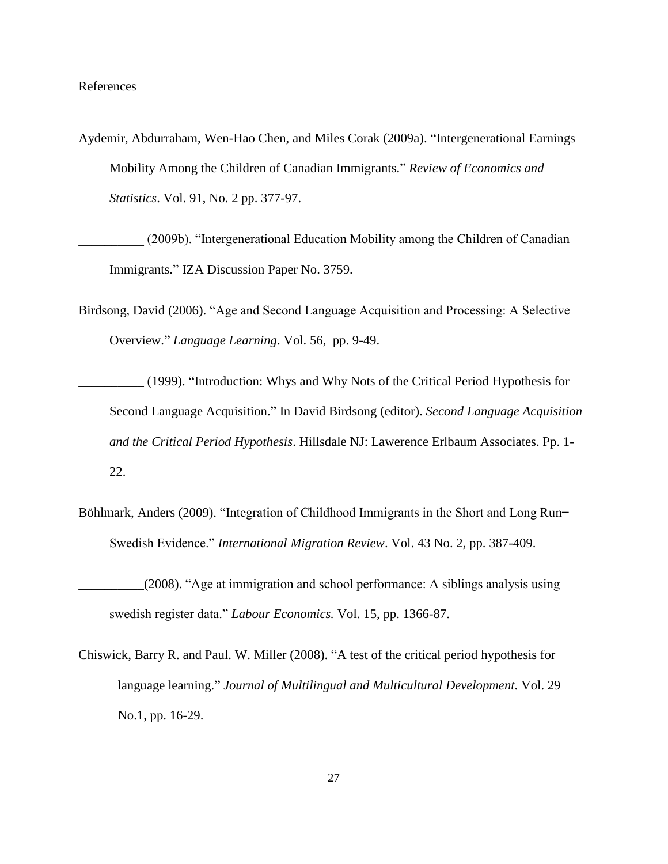# References

Aydemir, Abdurraham, Wen-Hao Chen, and Miles Corak (2009a). "Intergenerational Earnings Mobility Among the Children of Canadian Immigrants." *Review of Economics and Statistics*. Vol. 91, No. 2 pp. 377-97.

(2009b). "Intergenerational Education Mobility among the Children of Canadian Immigrants." IZA Discussion Paper No. 3759.

Birdsong, David (2006). "Age and Second Language Acquisition and Processing: A Selective Overview.‖ *Language Learning*. Vol. 56, pp. 9-49.

\_\_\_\_\_\_\_\_\_\_ (1999). ―Introduction: Whys and Why Nots of the Critical Period Hypothesis for Second Language Acquisition." In David Birdsong (editor). *Second Language Acquisition and the Critical Period Hypothesis*. Hillsdale NJ: Lawerence Erlbaum Associates. Pp. 1- 22.

- Böhlmark, Anders (2009). "Integration of Childhood Immigrants in the Short and Long Run-Swedish Evidence." *International Migration Review*. Vol. 43 No. 2, pp. 387-409.
- \_\_\_\_\_\_\_\_\_\_(2008). ―Age at immigration and school performance: A siblings analysis using swedish register data." *Labour Economics*. Vol. 15, pp. 1366-87.
- Chiswick, Barry R. and Paul. W. Miller (2008). "A test of the critical period hypothesis for language learning.‖ *Journal of Multilingual and Multicultural Development.* Vol. 29 No.1, pp. 16-29.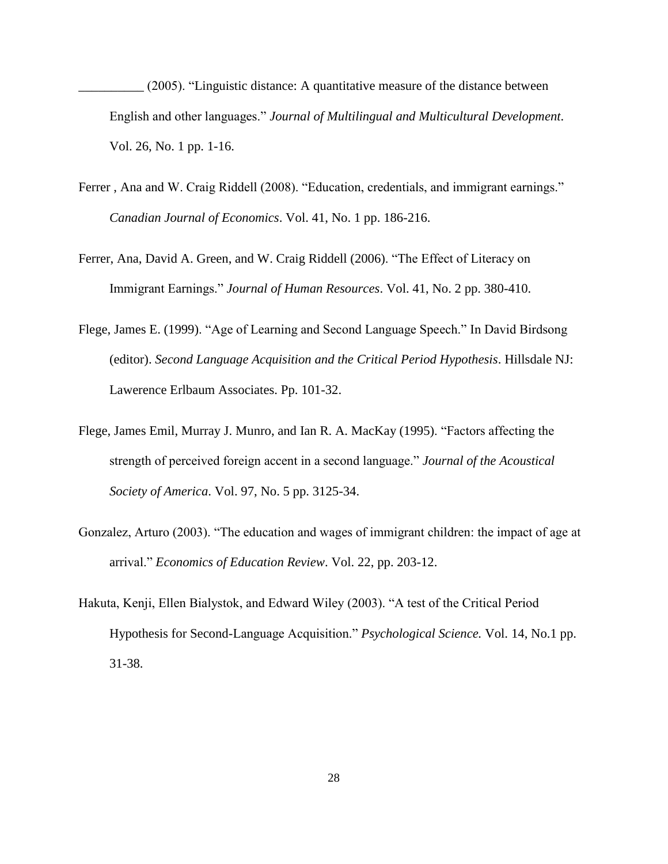$(2005)$ . "Linguistic distance: A quantitative measure of the distance between English and other languages.‖ *Journal of Multilingual and Multicultural Development.*  Vol. 26, No. 1 pp. 1-16.

- Ferrer, Ana and W. Craig Riddell (2008). "Education, credentials, and immigrant earnings." *Canadian Journal of Economics*. Vol. 41, No. 1 pp. 186-216.
- Ferrer, Ana, David A. Green, and W. Craig Riddell (2006). "The Effect of Literacy on Immigrant Earnings.‖ *Journal of Human Resources*. Vol. 41, No. 2 pp. 380-410.
- Flege, James E. (1999). "Age of Learning and Second Language Speech." In David Birdsong (editor). *Second Language Acquisition and the Critical Period Hypothesis*. Hillsdale NJ: Lawerence Erlbaum Associates. Pp. 101-32.
- Flege, James Emil, Murray J. Munro, and Ian R. A. MacKay (1995). "Factors affecting the strength of perceived foreign accent in a second language." *Journal of the Acoustical Society of America*. Vol. 97, No. 5 pp. 3125-34.
- Gonzalez, Arturo (2003). "The education and wages of immigrant children: the impact of age at arrival." *Economics of Education Review*. Vol. 22, pp. 203-12.
- Hakuta, Kenji, Ellen Bialystok, and Edward Wiley (2003). "A test of the Critical Period Hypothesis for Second-Language Acquisition." *Psychological Science*. Vol. 14, No.1 pp. 31-38.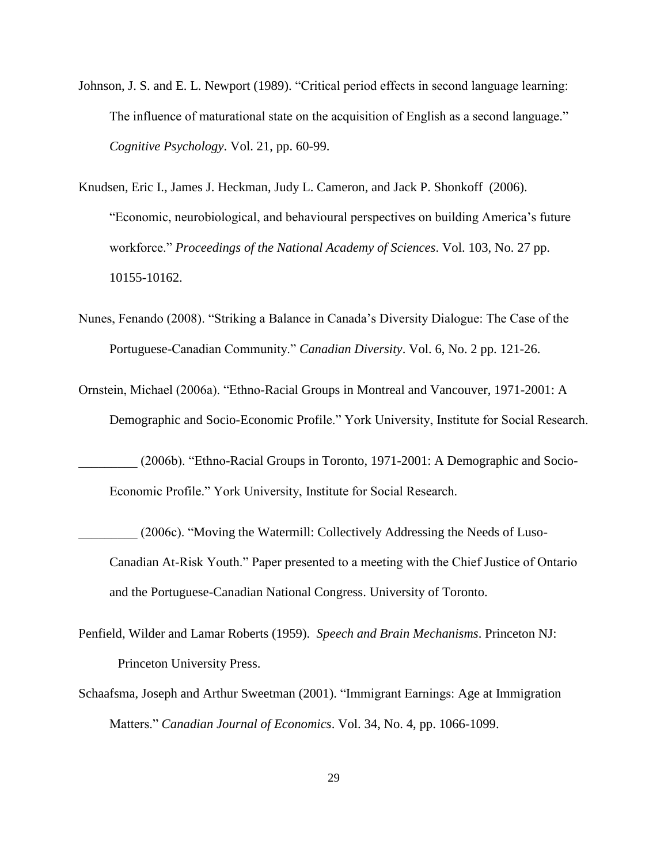- Johnson, J. S. and E. L. Newport (1989). "Critical period effects in second language learning: The influence of maturational state on the acquisition of English as a second language." *Cognitive Psychology*. Vol. 21, pp. 60-99.
- Knudsen, Eric I., James J. Heckman, Judy L. Cameron, and Jack P. Shonkoff (2006). ―Economic, neurobiological, and behavioural perspectives on building America's future workforce.‖ *Proceedings of the National Academy of Sciences*. Vol. 103, No. 27 pp. 10155-10162.
- Nunes, Fenando (2008). "Striking a Balance in Canada's Diversity Dialogue: The Case of the Portuguese-Canadian Community." *Canadian Diversity*. Vol. 6, No. 2 pp. 121-26.
- Ornstein, Michael (2006a). "Ethno-Racial Groups in Montreal and Vancouver, 1971-2001: A Demographic and Socio-Economic Profile." York University, Institute for Social Research.

(2006b). "Ethno-Racial Groups in Toronto, 1971-2001: A Demographic and Socio-Economic Profile." York University, Institute for Social Research.

- (2006c). "Moving the Watermill: Collectively Addressing the Needs of Luso-Canadian At-Risk Youth." Paper presented to a meeting with the Chief Justice of Ontario and the Portuguese-Canadian National Congress. University of Toronto.
- Penfield, Wilder and Lamar Roberts (1959). *Speech and Brain Mechanisms*. Princeton NJ: Princeton University Press.
- Schaafsma, Joseph and Arthur Sweetman (2001). "Immigrant Earnings: Age at Immigration Matters." *Canadian Journal of Economics*. Vol. 34, No. 4, pp. 1066-1099.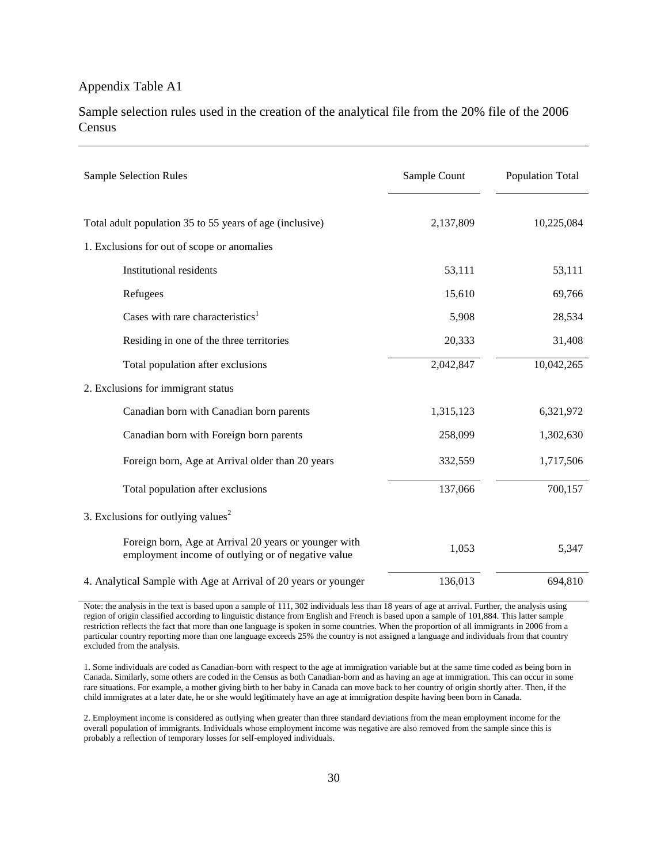# Appendix Table A1

Sample selection rules used in the creation of the analytical file from the 20% file of the 2006 Census

| <b>Sample Selection Rules</b>                                                                               | Sample Count | Population Total |
|-------------------------------------------------------------------------------------------------------------|--------------|------------------|
| Total adult population 35 to 55 years of age (inclusive)                                                    | 2,137,809    | 10,225,084       |
| 1. Exclusions for out of scope or anomalies                                                                 |              |                  |
| <b>Institutional residents</b>                                                                              | 53,111       | 53,111           |
| Refugees                                                                                                    | 15,610       | 69,766           |
| Cases with rare characteristics <sup>1</sup>                                                                | 5,908        | 28,534           |
| Residing in one of the three territories                                                                    | 20,333       | 31,408           |
| Total population after exclusions                                                                           | 2,042,847    | 10,042,265       |
| 2. Exclusions for immigrant status                                                                          |              |                  |
| Canadian born with Canadian born parents                                                                    | 1,315,123    | 6,321,972        |
| Canadian born with Foreign born parents                                                                     | 258,099      | 1,302,630        |
| Foreign born, Age at Arrival older than 20 years                                                            | 332,559      | 1,717,506        |
| Total population after exclusions                                                                           | 137,066      | 700,157          |
| 3. Exclusions for outlying values <sup>2</sup>                                                              |              |                  |
| Foreign born, Age at Arrival 20 years or younger with<br>employment income of outlying or of negative value | 1,053        | 5,347            |
| 4. Analytical Sample with Age at Arrival of 20 years or younger                                             | 136,013      | 694,810          |

Note: the analysis in the text is based upon a sample of 111, 302 individuals less than 18 years of age at arrival. Further, the analysis using region of origin classified according to linguistic distance from English and French is based upon a sample of 101,884. This latter sample restriction reflects the fact that more than one language is spoken in some countries. When the proportion of all immigrants in 2006 from a particular country reporting more than one language exceeds 25% the country is not assigned a language and individuals from that country excluded from the analysis.

1. Some individuals are coded as Canadian-born with respect to the age at immigration variable but at the same time coded as being born in Canada. Similarly, some others are coded in the Census as both Canadian-born and as having an age at immigration. This can occur in some rare situations. For example, a mother giving birth to her baby in Canada can move back to her country of origin shortly after. Then, if the child immigrates at a later date, he or she would legitimately have an age at immigration despite having been born in Canada.

2. Employment income is considered as outlying when greater than three standard deviations from the mean employment income for the overall population of immigrants. Individuals whose employment income was negative are also removed from the sample since this is probably a reflection of temporary losses for self-employed individuals.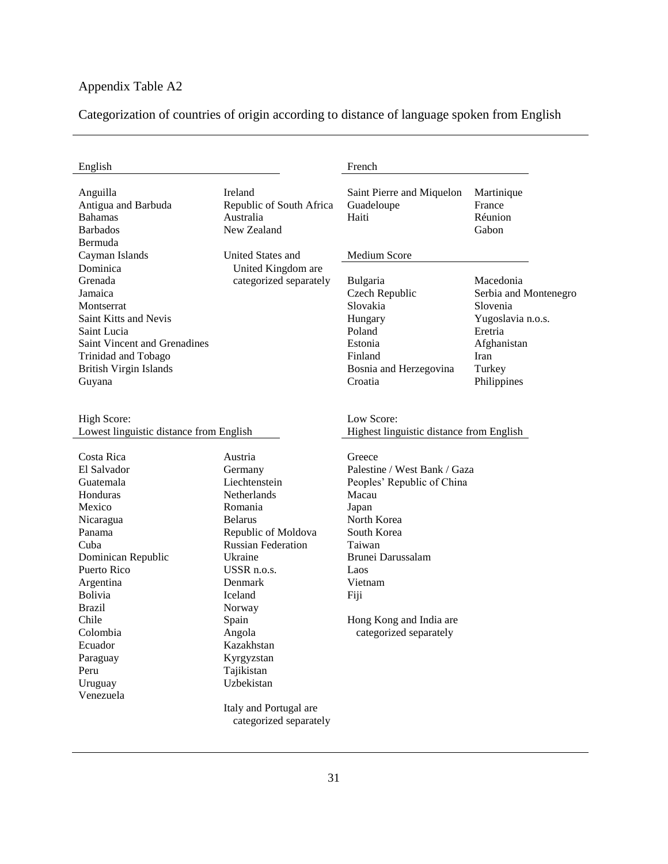# Appendix Table A2

Categorization of countries of origin according to distance of language spoken from English

| English                                                                                                                                                                                                                                                      |                                                                                                                                                                                                                                                                                                                              | French                                                                                                                                                                                                                              |                                                                                                                                |
|--------------------------------------------------------------------------------------------------------------------------------------------------------------------------------------------------------------------------------------------------------------|------------------------------------------------------------------------------------------------------------------------------------------------------------------------------------------------------------------------------------------------------------------------------------------------------------------------------|-------------------------------------------------------------------------------------------------------------------------------------------------------------------------------------------------------------------------------------|--------------------------------------------------------------------------------------------------------------------------------|
| Anguilla<br>Antigua and Barbuda<br><b>Bahamas</b><br><b>Barbados</b><br>Bermuda                                                                                                                                                                              | Ireland<br>Republic of South Africa<br>Australia<br>New Zealand                                                                                                                                                                                                                                                              | Saint Pierre and Miquelon<br>Guadeloupe<br>Haiti                                                                                                                                                                                    | Martinique<br>France<br>Réunion<br>Gabon                                                                                       |
| Cayman Islands                                                                                                                                                                                                                                               | United States and                                                                                                                                                                                                                                                                                                            | <b>Medium Score</b>                                                                                                                                                                                                                 |                                                                                                                                |
| Dominica<br>Grenada<br>Jamaica<br>Montserrat<br>Saint Kitts and Nevis<br>Saint Lucia<br>Saint Vincent and Grenadines<br>Trinidad and Tobago<br><b>British Virgin Islands</b><br>Guyana                                                                       | United Kingdom are<br>categorized separately                                                                                                                                                                                                                                                                                 | Bulgaria<br>Czech Republic<br>Slovakia<br>Hungary<br>Poland<br>Estonia<br>Finland<br>Bosnia and Herzegovina<br>Croatia                                                                                                              | Macedonia<br>Serbia and Montenegro<br>Slovenia<br>Yugoslavia n.o.s.<br>Eretria<br>Afghanistan<br>Iran<br>Turkey<br>Philippines |
| High Score:<br>Lowest linguistic distance from English                                                                                                                                                                                                       |                                                                                                                                                                                                                                                                                                                              | Low Score:<br>Highest linguistic distance from English                                                                                                                                                                              |                                                                                                                                |
| Costa Rica<br>El Salvador<br>Guatemala<br>Honduras<br>Mexico<br>Nicaragua<br>Panama<br>Cuba<br>Dominican Republic<br>Puerto Rico<br>Argentina<br><b>Bolivia</b><br><b>Brazil</b><br>Chile<br>Colombia<br>Ecuador<br>Paraguay<br>Peru<br>Uruguay<br>Venezuela | Austria<br>Germany<br>Liechtenstein<br>Netherlands<br>Romania<br><b>Belarus</b><br>Republic of Moldova<br><b>Russian Federation</b><br>Ukraine<br>USSR n.o.s.<br>Denmark<br>Iceland<br>Norway<br>Spain<br>Angola<br>Kazakhstan<br>Kyrgyzstan<br>Tajikistan<br>Uzbekistan<br>Italy and Portugal are<br>categorized separately | Greece<br>Palestine / West Bank / Gaza<br>Peoples' Republic of China<br>Macau<br>Japan<br>North Korea<br>South Korea<br>Taiwan<br>Brunei Darussalam<br>Laos<br>Vietnam<br>Fiji<br>Hong Kong and India are<br>categorized separately |                                                                                                                                |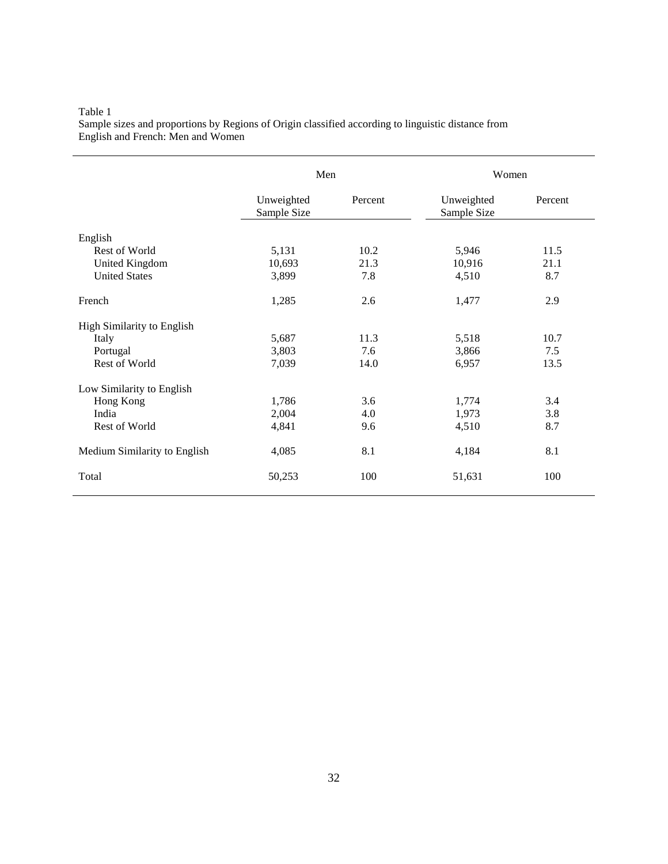#### Table 1 Sample sizes and proportions by Regions of Origin classified according to linguistic distance from English and French: Men and Women

|                                   | Men                       |         | Women                     |         |
|-----------------------------------|---------------------------|---------|---------------------------|---------|
|                                   | Unweighted<br>Sample Size | Percent | Unweighted<br>Sample Size | Percent |
| English                           |                           |         |                           |         |
| Rest of World                     | 5,131                     | 10.2    | 5,946                     | 11.5    |
| United Kingdom                    | 10,693                    | 21.3    | 10,916                    | 21.1    |
| <b>United States</b>              | 3,899                     | 7.8     | 4,510                     | 8.7     |
| French                            | 1,285                     | 2.6     | 1,477                     | 2.9     |
| <b>High Similarity to English</b> |                           |         |                           |         |
| Italy                             | 5,687                     | 11.3    | 5,518                     | 10.7    |
| Portugal                          | 3,803                     | 7.6     | 3,866                     | 7.5     |
| Rest of World                     | 7,039                     | 14.0    | 6,957                     | 13.5    |
| Low Similarity to English         |                           |         |                           |         |
| Hong Kong                         | 1,786                     | 3.6     | 1,774                     | 3.4     |
| India                             | 2,004                     | 4.0     | 1,973                     | 3.8     |
| Rest of World                     | 4,841                     | 9.6     | 4,510                     | 8.7     |
| Medium Similarity to English      | 4,085                     | 8.1     | 4,184                     | 8.1     |
| Total                             | 50,253                    | 100     | 51,631                    | 100     |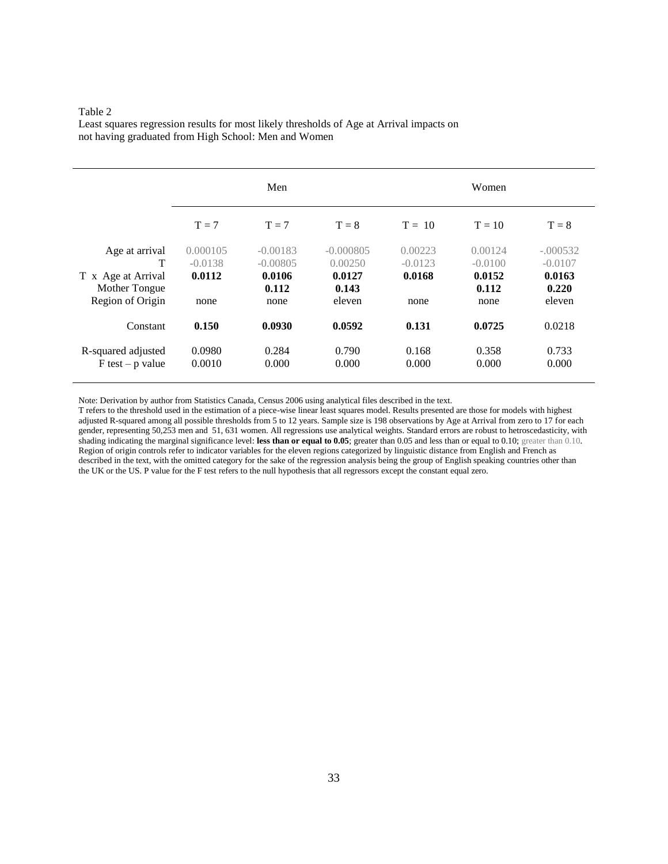Least squares regression results for most likely thresholds of Age at Arrival impacts on not having graduated from High School: Men and Women

|                                          | Men                   |                          |                        | Women                |                      |                         |  |
|------------------------------------------|-----------------------|--------------------------|------------------------|----------------------|----------------------|-------------------------|--|
|                                          | $T = 7$               | $T = 7$                  | $T = 8$                | $T = 10$             | $T = 10$             | $T = 8$                 |  |
| Age at arrival<br>T                      | 0.000105<br>$-0.0138$ | $-0.00183$<br>$-0.00805$ | $-0.000805$<br>0.00250 | 0.00223<br>$-0.0123$ | 0.00124<br>$-0.0100$ | $-.000532$<br>$-0.0107$ |  |
| T x Age at Arrival<br>Mother Tongue      | 0.0112                | 0.0106<br>0.112          | 0.0127<br>0.143        | 0.0168               | 0.0152<br>0.112      | 0.0163<br>0.220         |  |
| Region of Origin                         | none                  | none                     | eleven                 | none                 | none                 | eleven                  |  |
| Constant                                 | 0.150                 | 0.0930                   | 0.0592                 | 0.131                | 0.0725               | 0.0218                  |  |
| R-squared adjusted<br>$F$ test – p value | 0.0980<br>0.0010      | 0.284<br>0.000           | 0.790<br>0.000         | 0.168<br>0.000       | 0.358<br>0.000       | 0.733<br>0.000          |  |

Note: Derivation by author from Statistics Canada, Census 2006 using analytical files described in the text.

T refers to the threshold used in the estimation of a piece-wise linear least squares model. Results presented are those for models with highest adjusted R-squared among all possible thresholds from 5 to 12 years. Sample size is 198 observations by Age at Arrival from zero to 17 for each gender, representing 50,253 men and 51, 631 women. All regressions use analytical weights. Standard errors are robust to hetroscedasticity, with shading indicating the marginal significance level: **less than or equal to 0.05**; greater than 0.05 and less than or equal to 0.10; greater than 0.10. Region of origin controls refer to indicator variables for the eleven regions categorized by linguistic distance from English and French as described in the text, with the omitted category for the sake of the regression analysis being the group of English speaking countries other than the UK or the US. P value for the F test refers to the null hypothesis that all regressors except the constant equal zero.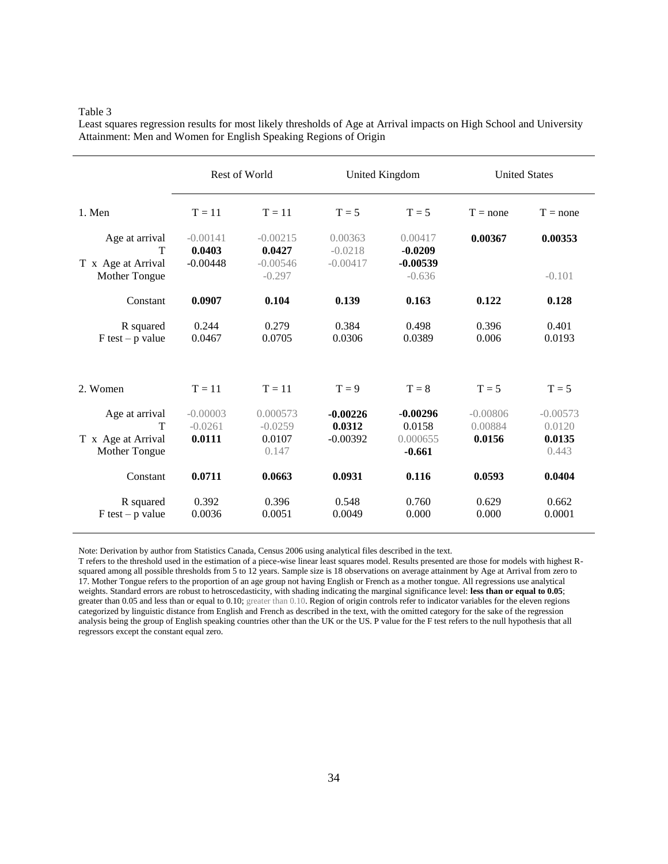|                                                            | Rest of World<br>United Kingdom   |                                          |                                    | <b>United States</b>                         |                                 |                                         |
|------------------------------------------------------------|-----------------------------------|------------------------------------------|------------------------------------|----------------------------------------------|---------------------------------|-----------------------------------------|
| 1. Men                                                     | $T = 11$                          | $T = 11$                                 | $T = 5$                            | $T = 5$                                      | $T = none$                      | $T = none$                              |
| Age at arrival<br>T                                        | $-0.00141$<br>0.0403              | $-0.00215$<br>0.0427                     | 0.00363<br>$-0.0218$               | 0.00417<br>$-0.0209$                         | 0.00367                         | 0.00353                                 |
| T x Age at Arrival<br>Mother Tongue                        | $-0.00448$                        | $-0.00546$<br>$-0.297$                   | $-0.00417$                         | $-0.00539$<br>$-0.636$                       |                                 | $-0.101$                                |
| Constant                                                   | 0.0907                            | 0.104                                    | 0.139                              | 0.163                                        | 0.122                           | 0.128                                   |
| R squared<br>$F$ test – p value                            | 0.244<br>0.0467                   | 0.279<br>0.0705                          | 0.384<br>0.0306                    | 0.498<br>0.0389                              | 0.396<br>0.006                  | 0.401<br>0.0193                         |
| 2. Women                                                   | $T = 11$                          | $T = 11$                                 | $T = 9$                            | $T = 8$                                      | $T = 5$                         | $T = 5$                                 |
| Age at arrival<br>T<br>T x Age at Arrival<br>Mother Tongue | $-0.00003$<br>$-0.0261$<br>0.0111 | 0.000573<br>$-0.0259$<br>0.0107<br>0.147 | $-0.00226$<br>0.0312<br>$-0.00392$ | $-0.00296$<br>0.0158<br>0.000655<br>$-0.661$ | $-0.00806$<br>0.00884<br>0.0156 | $-0.00573$<br>0.0120<br>0.0135<br>0.443 |
| Constant                                                   | 0.0711                            | 0.0663                                   | 0.0931                             | 0.116                                        | 0.0593                          | 0.0404                                  |
| R squared<br>$F$ test – p value                            | 0.392<br>0.0036                   | 0.396<br>0.0051                          | 0.548<br>0.0049                    | 0.760<br>0.000                               | 0.629<br>0.000                  | 0.662<br>0.0001                         |

Least squares regression results for most likely thresholds of Age at Arrival impacts on High School and University Attainment: Men and Women for English Speaking Regions of Origin

Note: Derivation by author from Statistics Canada, Census 2006 using analytical files described in the text.

T refers to the threshold used in the estimation of a piece-wise linear least squares model. Results presented are those for models with highest Rsquared among all possible thresholds from 5 to 12 years. Sample size is 18 observations on average attainment by Age at Arrival from zero to 17. Mother Tongue refers to the proportion of an age group not having English or French as a mother tongue. All regressions use analytical weights. Standard errors are robust to hetroscedasticity, with shading indicating the marginal significance level: **less than or equal to 0.05**; greater than 0.05 and less than or equal to 0.10; greater than 0.10. Region of origin controls refer to indicator variables for the eleven regions categorized by linguistic distance from English and French as described in the text, with the omitted category for the sake of the regression analysis being the group of English speaking countries other than the UK or the US. P value for the F test refers to the null hypothesis that all regressors except the constant equal zero.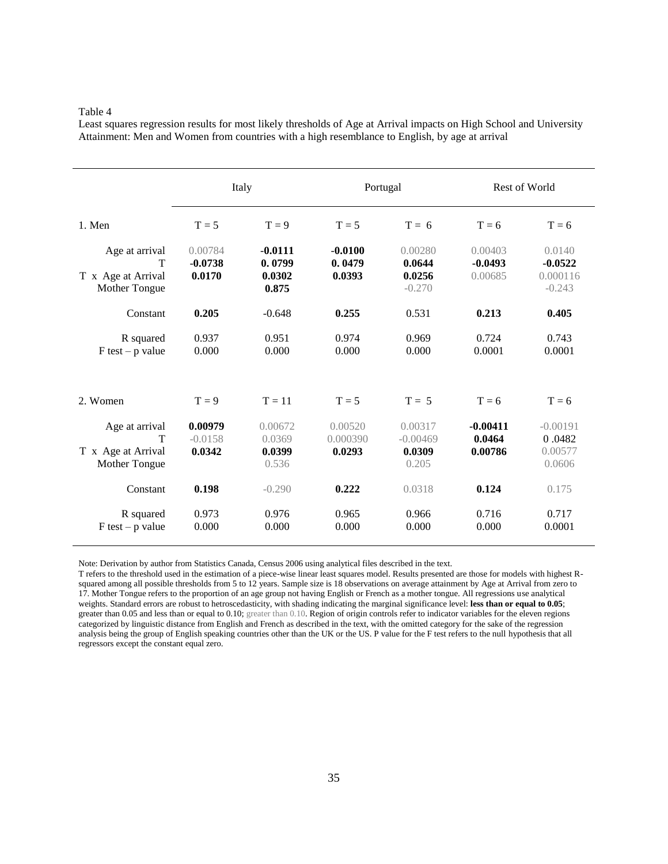Least squares regression results for most likely thresholds of Age at Arrival impacts on High School and University Attainment: Men and Women from countries with a high resemblance to English, by age at arrival

|                                                            | Italy                          |                                        |                               | Portugal                                 |                                 | Rest of World                               |  |
|------------------------------------------------------------|--------------------------------|----------------------------------------|-------------------------------|------------------------------------------|---------------------------------|---------------------------------------------|--|
| 1. Men                                                     | $T = 5$                        | $T = 9$                                | $T = 5$                       | $T = 6$                                  | $T = 6$                         | $T = 6$                                     |  |
| Age at arrival<br>т<br>T x Age at Arrival<br>Mother Tongue | 0.00784<br>$-0.0738$<br>0.0170 | $-0.0111$<br>0.0799<br>0.0302<br>0.875 | $-0.0100$<br>0.0479<br>0.0393 | 0.00280<br>0.0644<br>0.0256<br>$-0.270$  | 0.00403<br>$-0.0493$<br>0.00685 | 0.0140<br>$-0.0522$<br>0.000116<br>$-0.243$ |  |
| Constant                                                   | 0.205                          | $-0.648$                               | 0.255                         | 0.531                                    | 0.213                           | 0.405                                       |  |
| R squared<br>$F$ test – p value                            | 0.937<br>0.000                 | 0.951<br>0.000                         | 0.974<br>0.000                | 0.969<br>0.000                           | 0.724<br>0.0001                 | 0.743<br>0.0001                             |  |
| 2. Women                                                   | $T = 9$                        | $T = 11$                               | $T = 5$                       | $T = 5$                                  | $T = 6$                         | $T = 6$                                     |  |
| Age at arrival<br>T<br>T x Age at Arrival<br>Mother Tongue | 0.00979<br>$-0.0158$<br>0.0342 | 0.00672<br>0.0369<br>0.0399<br>0.536   | 0.00520<br>0.000390<br>0.0293 | 0.00317<br>$-0.00469$<br>0.0309<br>0.205 | $-0.00411$<br>0.0464<br>0.00786 | $-0.00191$<br>0.0482<br>0.00577<br>0.0606   |  |
| Constant                                                   | 0.198                          | $-0.290$                               | 0.222                         | 0.0318                                   | 0.124                           | 0.175                                       |  |
| R squared<br>$F$ test – p value                            | 0.973<br>0.000                 | 0.976<br>0.000                         | 0.965<br>0.000                | 0.966<br>0.000                           | 0.716<br>0.000                  | 0.717<br>0.0001                             |  |

Note: Derivation by author from Statistics Canada, Census 2006 using analytical files described in the text.

T refers to the threshold used in the estimation of a piece-wise linear least squares model. Results presented are those for models with highest Rsquared among all possible thresholds from 5 to 12 years. Sample size is 18 observations on average attainment by Age at Arrival from zero to 17. Mother Tongue refers to the proportion of an age group not having English or French as a mother tongue. All regressions use analytical weights. Standard errors are robust to hetroscedasticity, with shading indicating the marginal significance level: **less than or equal to 0.05**; greater than 0.05 and less than or equal to 0.10; greater than 0.10. Region of origin controls refer to indicator variables for the eleven regions categorized by linguistic distance from English and French as described in the text, with the omitted category for the sake of the regression analysis being the group of English speaking countries other than the UK or the US. P value for the F test refers to the null hypothesis that all regressors except the constant equal zero.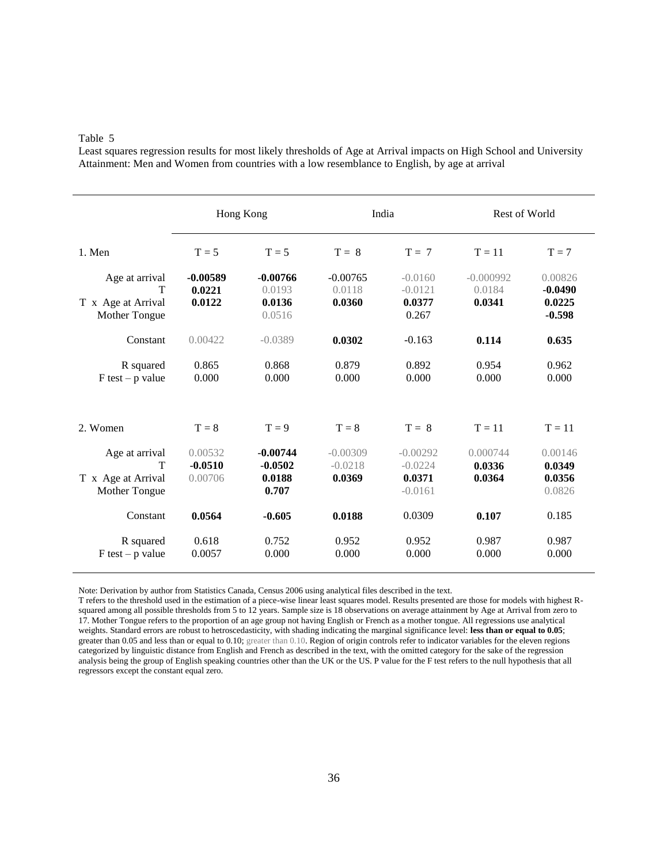Least squares regression results for most likely thresholds of Age at Arrival impacts on High School and University Attainment: Men and Women from countries with a low resemblance to English, by age at arrival

|                                                            |                                 | Hong Kong                                  | India                             |                                                | Rest of World                   |                                            |
|------------------------------------------------------------|---------------------------------|--------------------------------------------|-----------------------------------|------------------------------------------------|---------------------------------|--------------------------------------------|
| 1. Men                                                     | $T = 5$                         | $T = 5$                                    | $T = 8$                           | $T = 7$                                        | $T = 11$                        | $T = 7$                                    |
| Age at arrival<br>T<br>T x Age at Arrival<br>Mother Tongue | $-0.00589$<br>0.0221<br>0.0122  | $-0.00766$<br>0.0193<br>0.0136<br>0.0516   | $-0.00765$<br>0.0118<br>0.0360    | $-0.0160$<br>$-0.0121$<br>0.0377<br>0.267      | $-0.000992$<br>0.0184<br>0.0341 | 0.00826<br>$-0.0490$<br>0.0225<br>$-0.598$ |
| Constant                                                   | 0.00422                         | $-0.0389$                                  | 0.0302                            | $-0.163$                                       | 0.114                           | 0.635                                      |
| R squared<br>$F$ test – p value                            | 0.865<br>0.000                  | 0.868<br>0.000                             | 0.879<br>0.000                    | 0.892<br>0.000                                 | 0.954<br>0.000                  | 0.962<br>0.000                             |
| 2. Women                                                   | $T = 8$                         | $T = 9$                                    | $T = 8$                           | $T = 8$                                        | $T = 11$                        | $T = 11$                                   |
| Age at arrival<br>T<br>T x Age at Arrival<br>Mother Tongue | 0.00532<br>$-0.0510$<br>0.00706 | $-0.00744$<br>$-0.0502$<br>0.0188<br>0.707 | $-0.00309$<br>$-0.0218$<br>0.0369 | $-0.00292$<br>$-0.0224$<br>0.0371<br>$-0.0161$ | 0.000744<br>0.0336<br>0.0364    | 0.00146<br>0.0349<br>0.0356<br>0.0826      |
| Constant                                                   | 0.0564                          | $-0.605$                                   | 0.0188                            | 0.0309                                         | 0.107                           | 0.185                                      |
| R squared<br>$F$ test – p value                            | 0.618<br>0.0057                 | 0.752<br>0.000                             | 0.952<br>0.000                    | 0.952<br>0.000                                 | 0.987<br>0.000                  | 0.987<br>0.000                             |

Note: Derivation by author from Statistics Canada, Census 2006 using analytical files described in the text.

T refers to the threshold used in the estimation of a piece-wise linear least squares model. Results presented are those for models with highest Rsquared among all possible thresholds from 5 to 12 years. Sample size is 18 observations on average attainment by Age at Arrival from zero to 17. Mother Tongue refers to the proportion of an age group not having English or French as a mother tongue. All regressions use analytical weights. Standard errors are robust to hetroscedasticity, with shading indicating the marginal significance level: **less than or equal to 0.05**; greater than 0.05 and less than or equal to 0.10; greater than 0.10. Region of origin controls refer to indicator variables for the eleven regions categorized by linguistic distance from English and French as described in the text, with the omitted category for the sake of the regression analysis being the group of English speaking countries other than the UK or the US. P value for the F test refers to the null hypothesis that all regressors except the constant equal zero.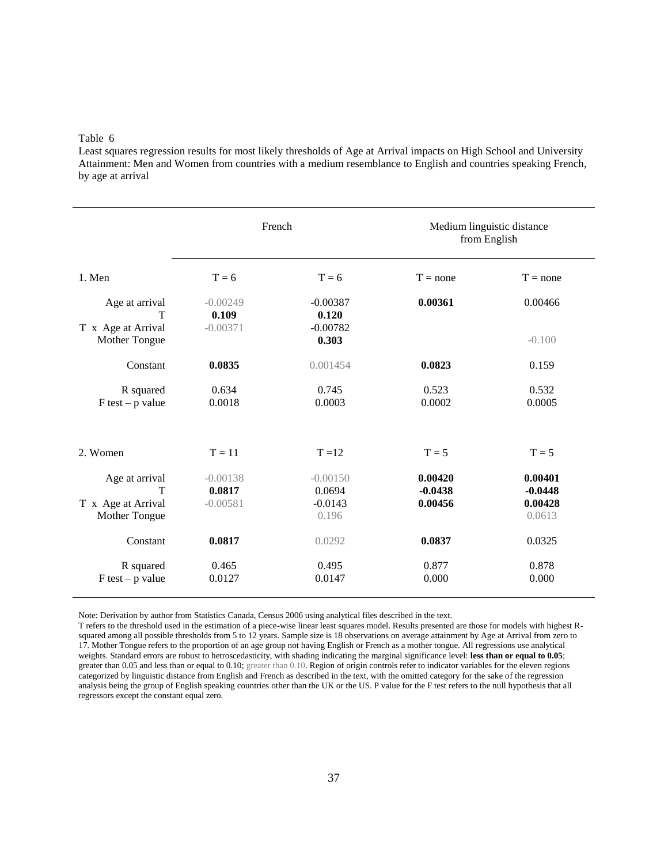Least squares regression results for most likely thresholds of Age at Arrival impacts on High School and University Attainment: Men and Women from countries with a medium resemblance to English and countries speaking French, by age at arrival

|                                                            | French                             |                                            | Medium linguistic distance<br>from English |                                           |  |
|------------------------------------------------------------|------------------------------------|--------------------------------------------|--------------------------------------------|-------------------------------------------|--|
| 1. Men                                                     | $T = 6$                            | $T = 6$                                    | $T = none$                                 | $T = none$                                |  |
| Age at arrival<br>T<br>T x Age at Arrival                  | $-0.00249$<br>0.109<br>$-0.00371$  | $-0.00387$<br>0.120<br>$-0.00782$          | 0.00361                                    | 0.00466                                   |  |
| Mother Tongue                                              |                                    | 0.303                                      |                                            | $-0.100$                                  |  |
| Constant                                                   | 0.0835                             | 0.001454                                   | 0.0823                                     | 0.159                                     |  |
| R squared<br>$F$ test – p value                            | 0.634<br>0.0018                    | 0.745<br>0.0003                            | 0.523<br>0.0002                            | 0.532<br>0.0005                           |  |
| 2. Women                                                   | $T = 11$                           | $T = 12$                                   | $T = 5$                                    | $T = 5$                                   |  |
| Age at arrival<br>T<br>T x Age at Arrival<br>Mother Tongue | $-0.00138$<br>0.0817<br>$-0.00581$ | $-0.00150$<br>0.0694<br>$-0.0143$<br>0.196 | 0.00420<br>$-0.0438$<br>0.00456            | 0.00401<br>$-0.0448$<br>0.00428<br>0.0613 |  |
| Constant                                                   | 0.0817                             | 0.0292                                     | 0.0837                                     | 0.0325                                    |  |
| R squared<br>$F$ test – p value                            | 0.465<br>0.0127                    | 0.495<br>0.0147                            | 0.877<br>0.000                             | 0.878<br>0.000                            |  |

Note: Derivation by author from Statistics Canada, Census 2006 using analytical files described in the text.

T refers to the threshold used in the estimation of a piece-wise linear least squares model. Results presented are those for models with highest Rsquared among all possible thresholds from 5 to 12 years. Sample size is 18 observations on average attainment by Age at Arrival from zero to 17. Mother Tongue refers to the proportion of an age group not having English or French as a mother tongue. All regressions use analytical weights. Standard errors are robust to hetroscedasticity, with shading indicating the marginal significance level: **less than or equal to 0.05**; greater than 0.05 and less than or equal to 0.10; greater than 0.10. Region of origin controls refer to indicator variables for the eleven regions categorized by linguistic distance from English and French as described in the text, with the omitted category for the sake of the regression analysis being the group of English speaking countries other than the UK or the US. P value for the F test refers to the null hypothesis that all regressors except the constant equal zero.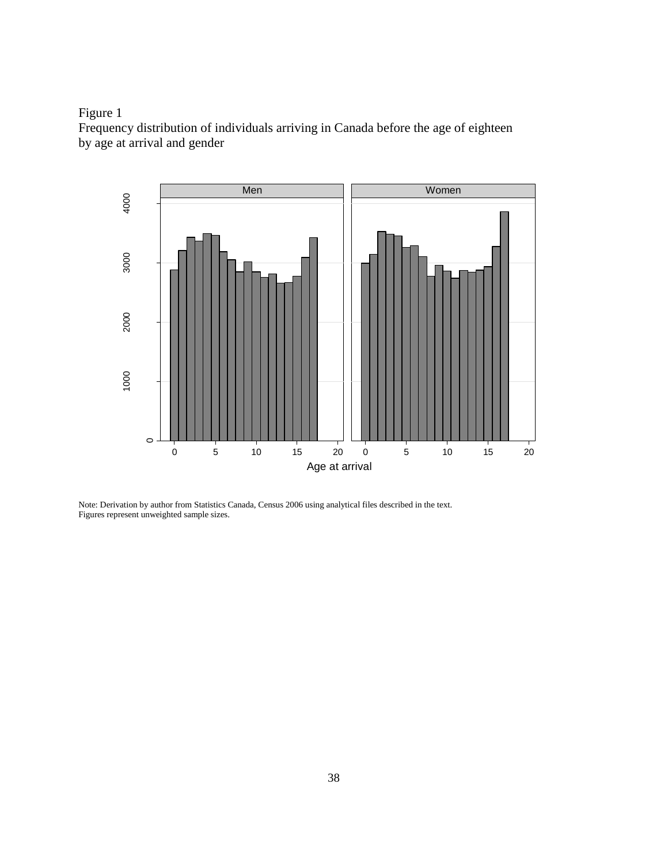



Note: Derivation by author from Statistics Canada, Census 2006 using analytical files described in the text. Figures represent unweighted sample sizes.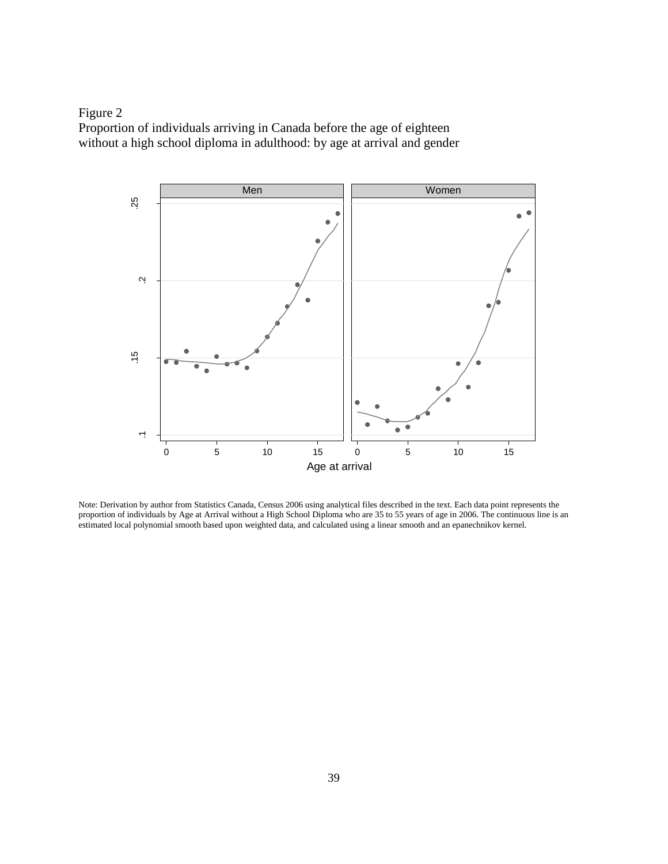



Note: Derivation by author from Statistics Canada, Census 2006 using analytical files described in the text. Each data point represents the proportion of individuals by Age at Arrival without a High School Diploma who are 35 to 55 years of age in 2006. The continuous line is an estimated local polynomial smooth based upon weighted data, and calculated using a linear smooth and an epanechnikov kernel.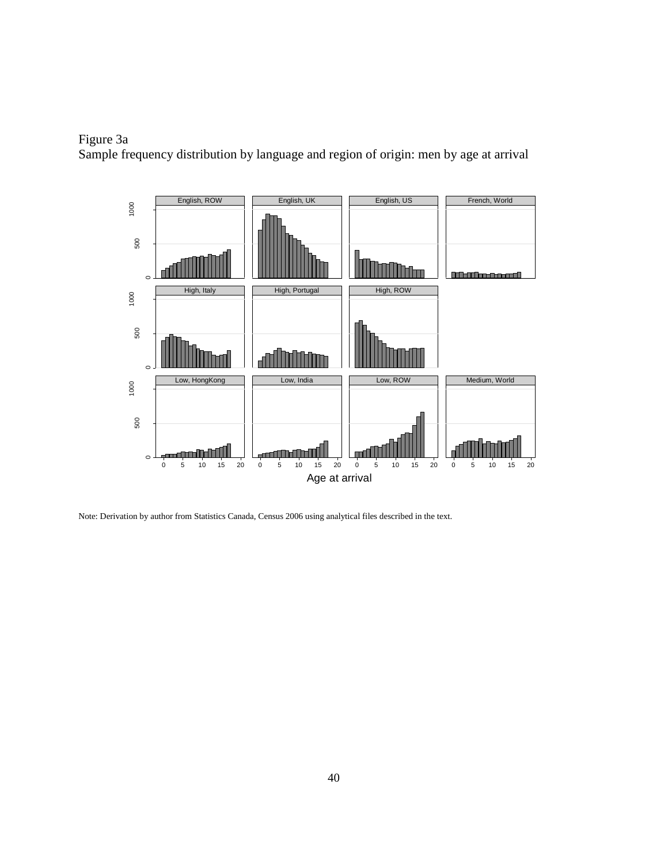# Figure 3a Sample frequency distribution by language and region of origin: men by age at arrival



Note: Derivation by author from Statistics Canada, Census 2006 using analytical files described in the text.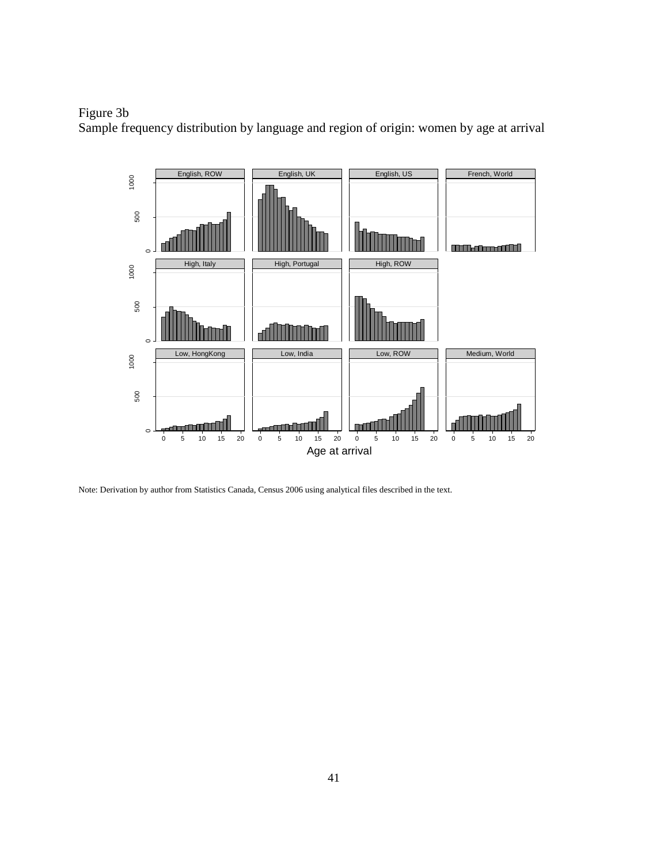# Figure 3b

Sample frequency distribution by language and region of origin: women by age at arrival



Note: Derivation by author from Statistics Canada, Census 2006 using analytical files described in the text.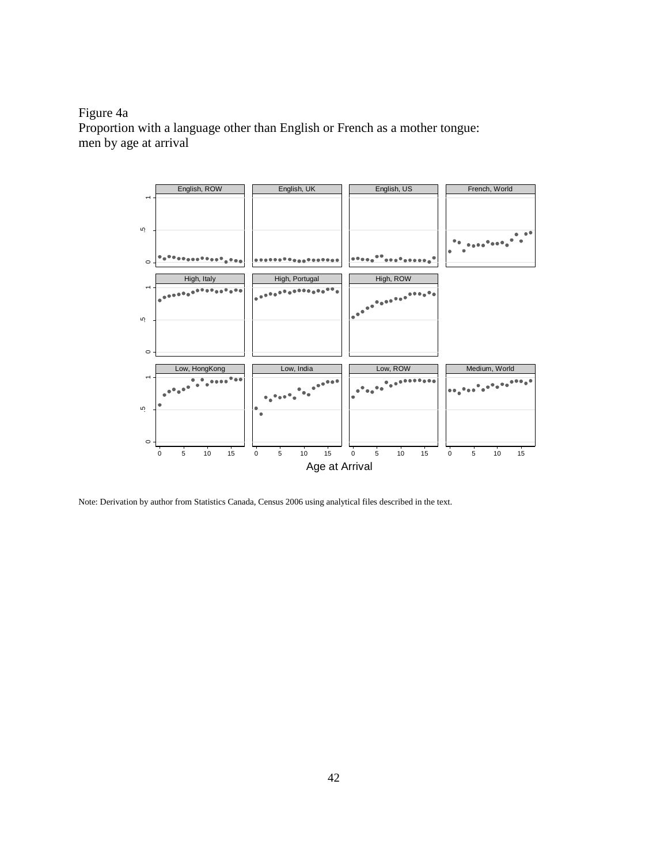Figure 4a Proportion with a language other than English or French as a mother tongue: men by age at arrival



Note: Derivation by author from Statistics Canada, Census 2006 using analytical files described in the text.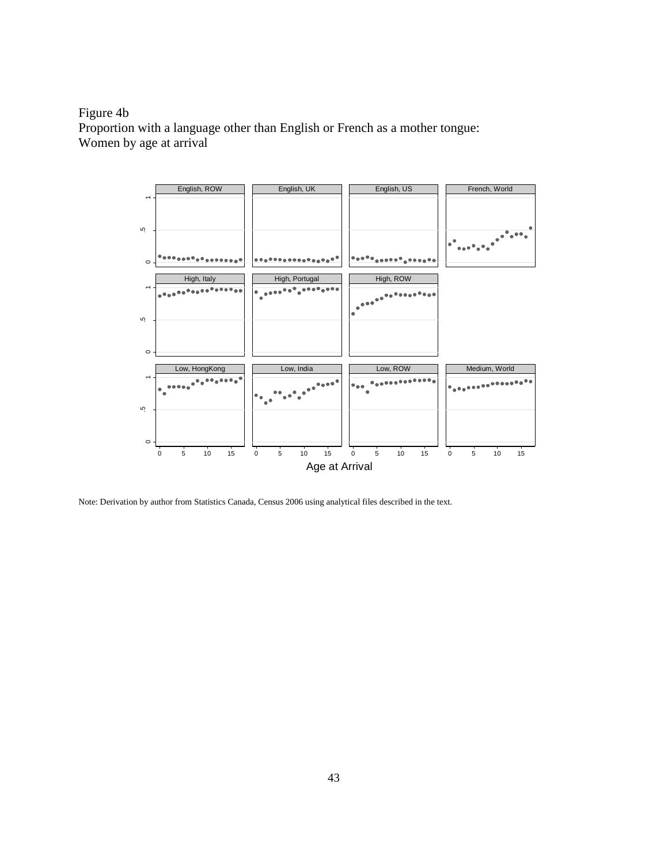Figure 4b Proportion with a language other than English or French as a mother tongue: Women by age at arrival



Note: Derivation by author from Statistics Canada, Census 2006 using analytical files described in the text.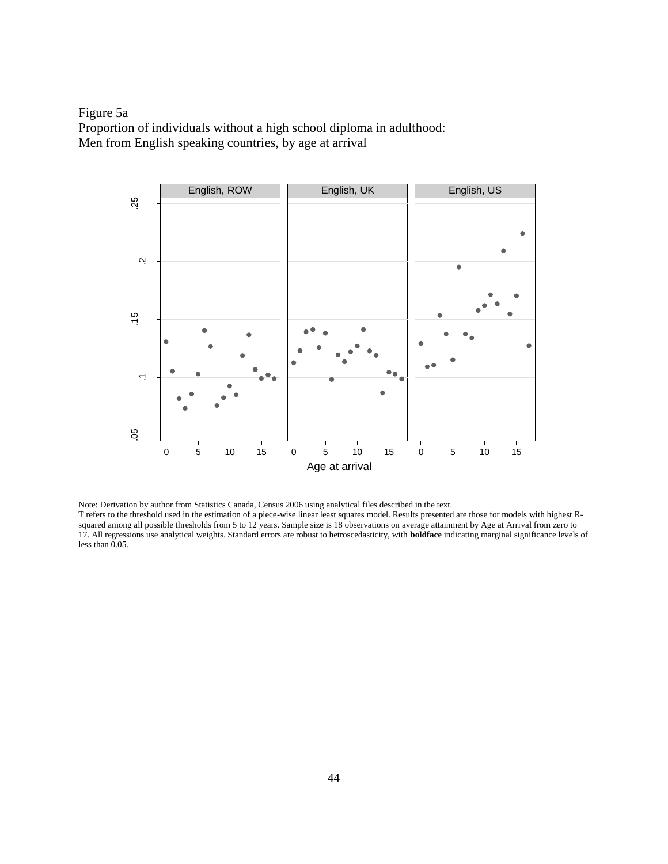Figure 5a Proportion of individuals without a high school diploma in adulthood: Men from English speaking countries, by age at arrival



Note: Derivation by author from Statistics Canada, Census 2006 using analytical files described in the text.

T refers to the threshold used in the estimation of a piece-wise linear least squares model. Results presented are those for models with highest Rsquared among all possible thresholds from 5 to 12 years. Sample size is 18 observations on average attainment by Age at Arrival from zero to 17. All regressions use analytical weights. Standard errors are robust to hetroscedasticity, with **boldface** indicating marginal significance levels of less than 0.05.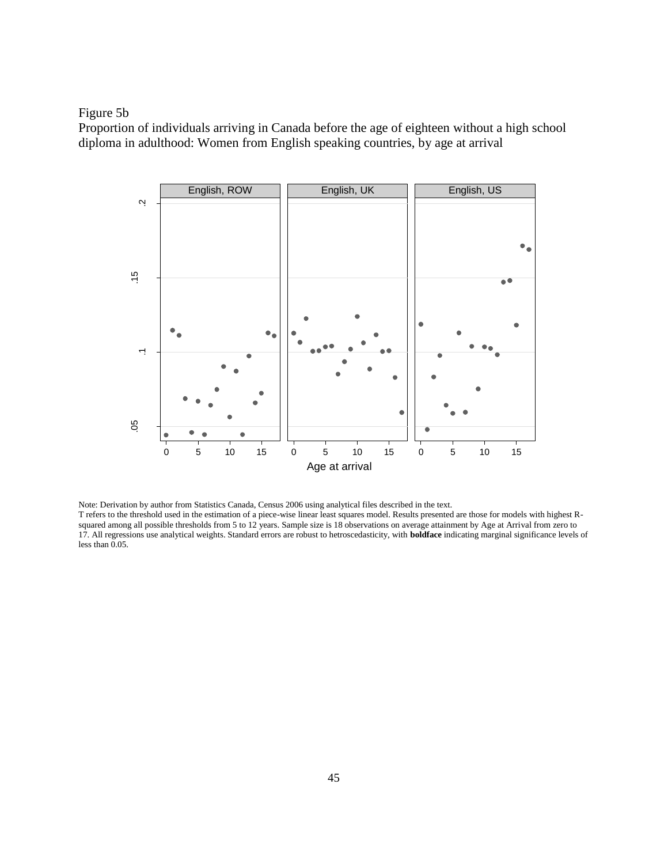Figure 5b

Proportion of individuals arriving in Canada before the age of eighteen without a high school diploma in adulthood: Women from English speaking countries, by age at arrival



Note: Derivation by author from Statistics Canada, Census 2006 using analytical files described in the text.

T refers to the threshold used in the estimation of a piece-wise linear least squares model. Results presented are those for models with highest Rsquared among all possible thresholds from 5 to 12 years. Sample size is 18 observations on average attainment by Age at Arrival from zero to 17. All regressions use analytical weights. Standard errors are robust to hetroscedasticity, with **boldface** indicating marginal significance levels of less than 0.05.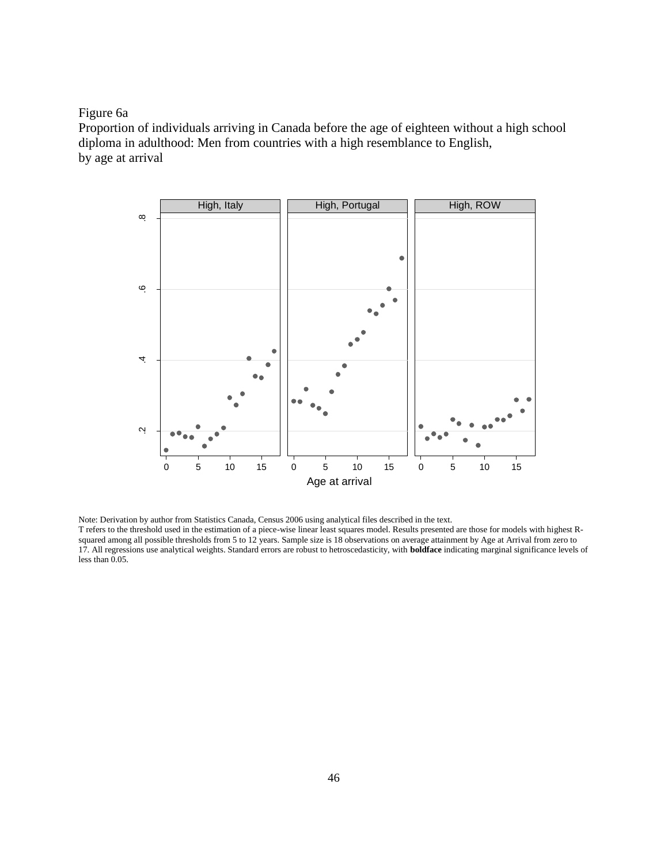# Figure 6a

Proportion of individuals arriving in Canada before the age of eighteen without a high school diploma in adulthood: Men from countries with a high resemblance to English, by age at arrival



Note: Derivation by author from Statistics Canada, Census 2006 using analytical files described in the text. T refers to the threshold used in the estimation of a piece-wise linear least squares model. Results presented are those for models with highest Rsquared among all possible thresholds from 5 to 12 years. Sample size is 18 observations on average attainment by Age at Arrival from zero to 17. All regressions use analytical weights. Standard errors are robust to hetroscedasticity, with **boldface** indicating marginal significance levels of less than 0.05.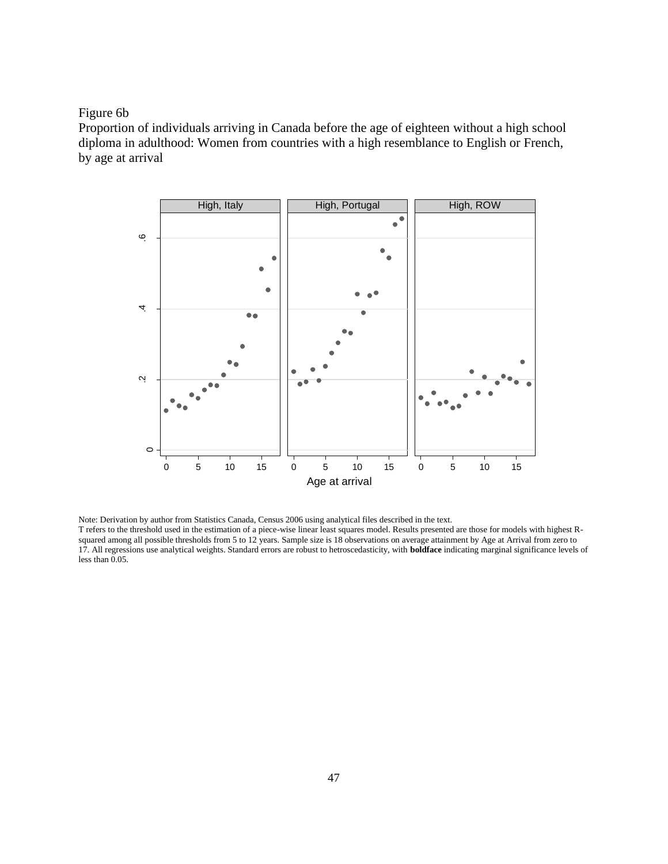# Figure 6b

Proportion of individuals arriving in Canada before the age of eighteen without a high school diploma in adulthood: Women from countries with a high resemblance to English or French, by age at arrival



Note: Derivation by author from Statistics Canada, Census 2006 using analytical files described in the text. T refers to the threshold used in the estimation of a piece-wise linear least squares model. Results presented are those for models with highest Rsquared among all possible thresholds from 5 to 12 years. Sample size is 18 observations on average attainment by Age at Arrival from zero to 17. All regressions use analytical weights. Standard errors are robust to hetroscedasticity, with **boldface** indicating marginal significance levels of less than 0.05.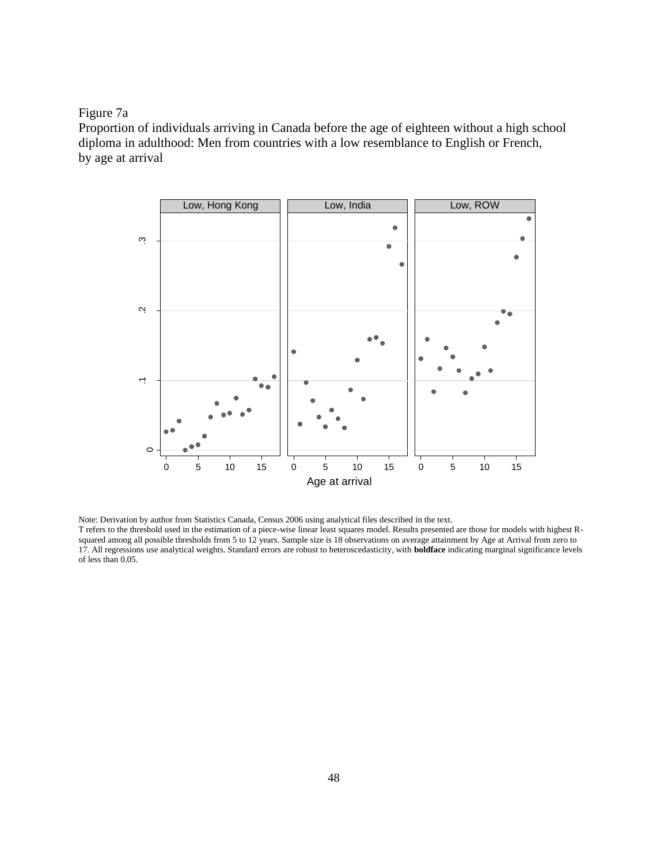## Figure 7a

Proportion of individuals arriving in Canada before the age of eighteen without a high school diploma in adulthood: Men from countries with a low resemblance to English or French, by age at arrival



Note: Derivation by author from Statistics Canada, Census 2006 using analytical files described in the text.

T refers to the threshold used in the estimation of a piece-wise linear least squares model. Results presented are those for models with highest Rsquared among all possible thresholds from 5 to 12 years. Sample size is 18 observations on average attainment by Age at Arrival from zero to 17. All regressions use analytical weights. Standard errors are robust to heteroscedasticity, with **boldface** indicating marginal significance levels of less than 0.05.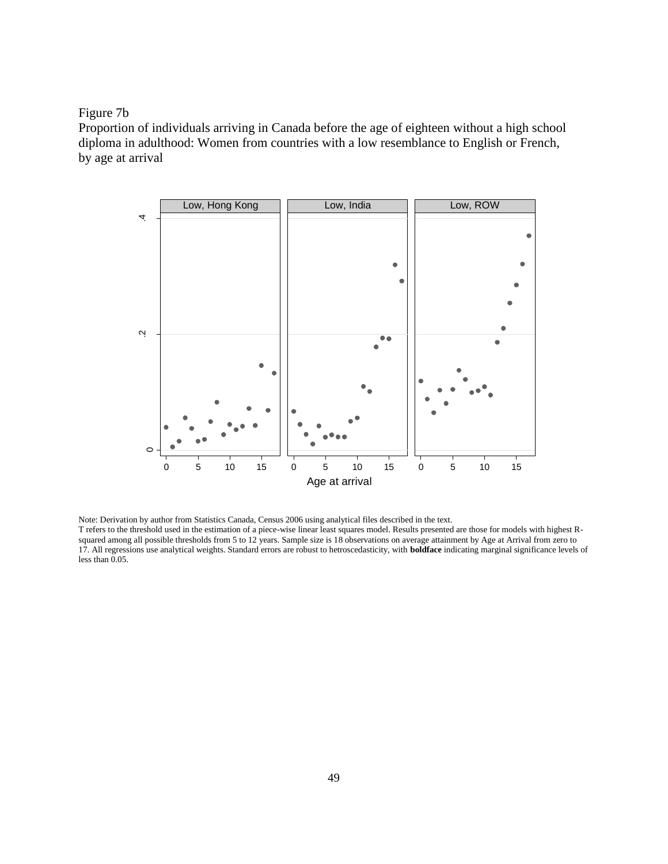## Figure 7b

less than 0.05.

Proportion of individuals arriving in Canada before the age of eighteen without a high school diploma in adulthood: Women from countries with a low resemblance to English or French, by age at arrival



Note: Derivation by author from Statistics Canada, Census 2006 using analytical files described in the text. T refers to the threshold used in the estimation of a piece-wise linear least squares model. Results presented are those for models with highest Rsquared among all possible thresholds from 5 to 12 years. Sample size is 18 observations on average attainment by Age at Arrival from zero to 17. All regressions use analytical weights. Standard errors are robust to hetroscedasticity, with **boldface** indicating marginal significance levels of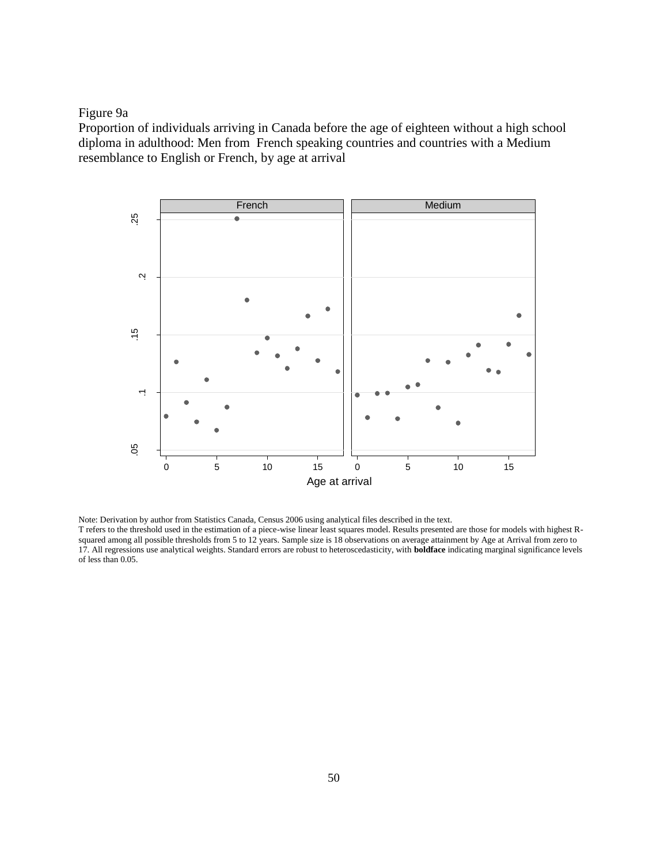Figure 9a

Proportion of individuals arriving in Canada before the age of eighteen without a high school diploma in adulthood: Men from French speaking countries and countries with a Medium resemblance to English or French, by age at arrival



Note: Derivation by author from Statistics Canada, Census 2006 using analytical files described in the text. T refers to the threshold used in the estimation of a piece-wise linear least squares model. Results presented are those for models with highest Rsquared among all possible thresholds from 5 to 12 years. Sample size is 18 observations on average attainment by Age at Arrival from zero to 17. All regressions use analytical weights. Standard errors are robust to heteroscedasticity, with **boldface** indicating marginal significance levels of less than 0.05.